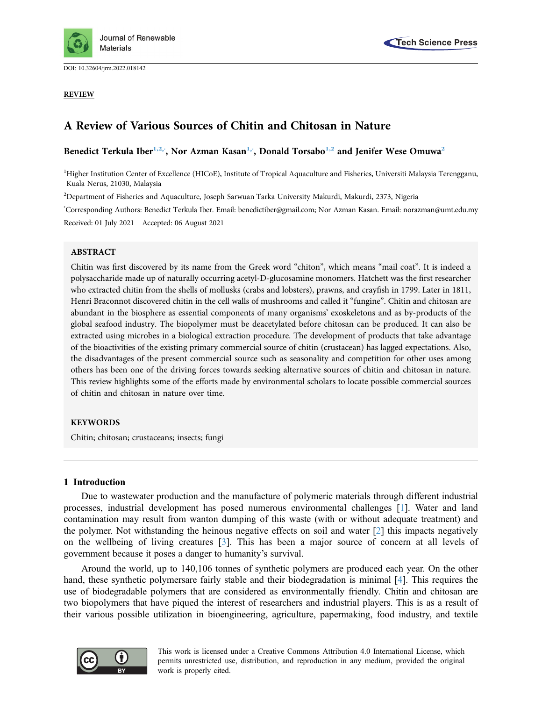

DOI: [10.32604/jrm.2022.018142](http://dx.doi.org/10.32604/jrm.2022.018142)

### REVIEW



# A Review of Various Sources of Chitin and Chitosan in Nature

Benedict Terkula Iber<sup>[1,](#page-0-0)[2](#page-0-1),</sup>[\\*](#page-0-2), Nor Azman Kasan<sup>1,</sup>\*, Donald Torsabo<sup>1,2</sup> and Jenifer Wese Omuwa<sup>2</sup>

<span id="page-0-0"></span><sup>1</sup>Higher Institution Center of Excellence (HICoE), Institute of Tropical Aquaculture and Fisheries, Universiti Malaysia Terengganu, Kuala Nerus, 21030, Malaysia

<span id="page-0-1"></span> $^2$ Department of Fisheries and Aquaculture, Joseph Sarwuan Tarka University Makurdi, Makurdi, 2373, Nigeria

<span id="page-0-2"></span>\* Corresponding Authors: Benedict Terkula Iber. Email: [benedictiber@gmail.com](mailto:benedictiber@gmail.com); Nor Azman Kasan. Email: [norazman@umt.edu.my](mailto:norazman@umt.edu.my) Received: 01 July 2021 Accepted: 06 August 2021

### ABSTRACT

Chitin was first discovered by its name from the Greek word "chiton", which means "mail coat". It is indeed a polysaccharide made up of naturally occurring acetyl-D-glucosamine monomers. Hatchett was the first researcher who extracted chitin from the shells of mollusks (crabs and lobsters), prawns, and crayfish in 1799. Later in 1811, Henri Braconnot discovered chitin in the cell walls of mushrooms and called it "fungine". Chitin and chitosan are abundant in the biosphere as essential components of many organisms' exoskeletons and as by-products of the global seafood industry. The biopolymer must be deacetylated before chitosan can be produced. It can also be extracted using microbes in a biological extraction procedure. The development of products that take advantage of the bioactivities of the existing primary commercial source of chitin (crustacean) has lagged expectations. Also, the disadvantages of the present commercial source such as seasonality and competition for other uses among others has been one of the driving forces towards seeking alternative sources of chitin and chitosan in nature. This review highlights some of the efforts made by environmental scholars to locate possible commercial sources of chitin and chitosan in nature over time.

# KEYWORDS

Chitin; chitosan; crustaceans; insects; fungi

# 1 Introduction

Due to wastewater production and the manufacture of polymeric materials through different industrial processes, industrial development has posed numerous environmental challenges [[1](#page-16-0)]. Water and land contamination may result from wanton dumping of this waste (with or without adequate treatment) and the polymer. Not withstanding the heinous negative effects on soil and water [[2](#page-16-1)] this impacts negatively on the wellbeing of living creatures [\[3\]](#page-16-2). This has been a major source of concern at all levels of government because it poses a danger to humanity's survival.

Around the world, up to 140,106 tonnes of synthetic polymers are produced each year. On the other hand, these synthetic polymersare fairly stable and their biodegradation is minimal [\[4\]](#page-16-3). This requires the use of biodegradable polymers that are considered as environmentally friendly. Chitin and chitosan are two biopolymers that have piqued the interest of researchers and industrial players. This is as a result of their various possible utilization in bioengineering, agriculture, papermaking, food industry, and textile

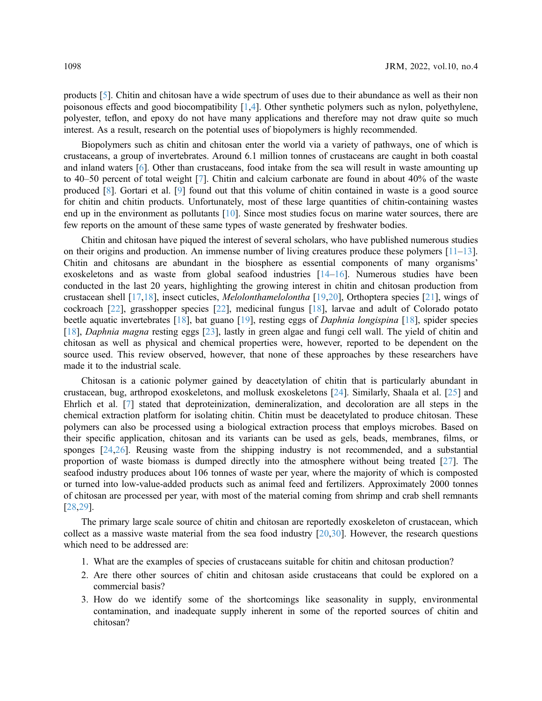products [\[5\]](#page-16-4). Chitin and chitosan have a wide spectrum of uses due to their abundance as well as their non poisonous effects and good biocompatibility [\[1,](#page-16-0)[4](#page-16-3)]. Other synthetic polymers such as nylon, polyethylene, polyester, teflon, and epoxy do not have many applications and therefore may not draw quite so much interest. As a result, research on the potential uses of biopolymers is highly recommended.

Biopolymers such as chitin and chitosan enter the world via a variety of pathways, one of which is crustaceans, a group of invertebrates. Around 6.1 million tonnes of crustaceans are caught in both coastal and inland waters [\[6\]](#page-16-5). Other than crustaceans, food intake from the sea will result in waste amounting up to 40–50 percent of total weight [\[7\]](#page-17-0). Chitin and calcium carbonate are found in about 40% of the waste produced [[8](#page-17-1)]. Gortari et al. [[9](#page-17-2)] found out that this volume of chitin contained in waste is a good source for chitin and chitin products. Unfortunately, most of these large quantities of chitin-containing wastes end up in the environment as pollutants [[10\]](#page-17-3). Since most studies focus on marine water sources, there are few reports on the amount of these same types of waste generated by freshwater bodies.

Chitin and chitosan have piqued the interest of several scholars, who have published numerous studies on their origins and production. An immense number of living creatures produce these polymers [[11](#page-17-4)–[13\]](#page-17-5). Chitin and chitosans are abundant in the biosphere as essential components of many organisms' exoskeletons and as waste from global seafood industries [[14](#page-17-6)–[16](#page-17-7)]. Numerous studies have been conducted in the last 20 years, highlighting the growing interest in chitin and chitosan production from crustacean shell [[17](#page-17-8)[,18](#page-17-9)], insect cuticles, Melolonthamelolontha [\[19](#page-17-10)[,20](#page-17-11)], Orthoptera species [[21\]](#page-17-12), wings of cockroach [\[22](#page-17-13)], grasshopper species [[22](#page-17-13)], medicinal fungus [[18\]](#page-17-9), larvae and adult of Colorado potato beetle aquatic invertebrates [[18\]](#page-17-9), bat guano [[19\]](#page-17-10), resting eggs of Daphnia longispina [[18\]](#page-17-9), spider species [[18](#page-17-9)], Daphnia magna resting eggs [\[23](#page-17-14)], lastly in green algae and fungi cell wall. The yield of chitin and chitosan as well as physical and chemical properties were, however, reported to be dependent on the source used. This review observed, however, that none of these approaches by these researchers have made it to the industrial scale.

Chitosan is a cationic polymer gained by deacetylation of chitin that is particularly abundant in crustacean, bug, arthropod exoskeletons, and mollusk exoskeletons [\[24](#page-17-15)]. Similarly, Shaala et al. [\[25](#page-18-0)] and Ehrlich et al. [\[7\]](#page-17-0) stated that deproteinization, demineralization, and decoloration are all steps in the chemical extraction platform for isolating chitin. Chitin must be deacetylated to produce chitosan. These polymers can also be processed using a biological extraction process that employs microbes. Based on their specific application, chitosan and its variants can be used as gels, beads, membranes, films, or sponges [[24](#page-17-15)[,26](#page-18-1)]. Reusing waste from the shipping industry is not recommended, and a substantial proportion of waste biomass is dumped directly into the atmosphere without being treated [[27\]](#page-18-2). The seafood industry produces about 106 tonnes of waste per year, where the majority of which is composted or turned into low-value-added products such as animal feed and fertilizers. Approximately 2000 tonnes of chitosan are processed per year, with most of the material coming from shrimp and crab shell remnants [[28](#page-18-3)[,29](#page-18-4)].

The primary large scale source of chitin and chitosan are reportedly exoskeleton of crustacean, which collect as a massive waste material from the sea food industry [[20](#page-17-11)[,30](#page-18-5)]. However, the research questions which need to be addressed are:

- 1. What are the examples of species of crustaceans suitable for chitin and chitosan production?
- 2. Are there other sources of chitin and chitosan aside crustaceans that could be explored on a commercial basis?
- 3. How do we identify some of the shortcomings like seasonality in supply, environmental contamination, and inadequate supply inherent in some of the reported sources of chitin and chitosan?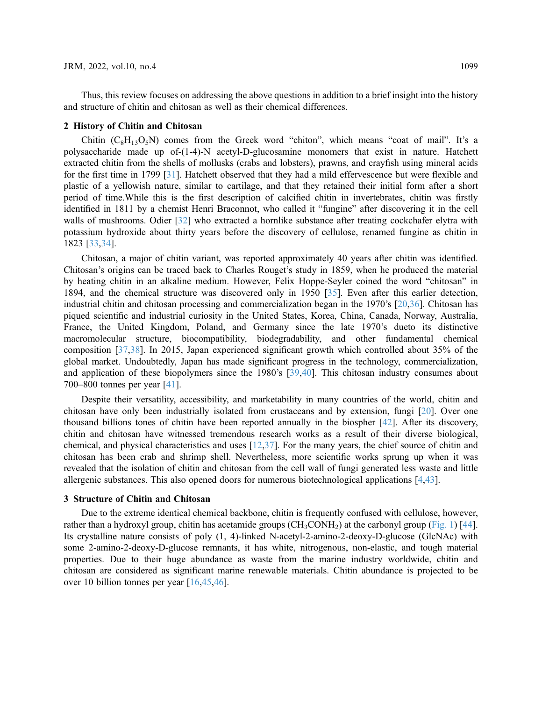Thus, this review focuses on addressing the above questions in addition to a brief insight into the history and structure of chitin and chitosan as well as their chemical differences.

#### 2 History of Chitin and Chitosan

Chitin  $(C_8H_{13}O_5N)$  comes from the Greek word "chiton", which means "coat of mail". It's a polysaccharide made up of-(1-4)-N acetyl-D-glucosamine monomers that exist in nature. Hatchett extracted chitin from the shells of mollusks (crabs and lobsters), prawns, and crayfish using mineral acids for the first time in 1799 [\[31](#page-18-6)]. Hatchett observed that they had a mild effervescence but were flexible and plastic of a yellowish nature, similar to cartilage, and that they retained their initial form after a short period of time.While this is the first description of calcified chitin in invertebrates, chitin was firstly identified in 1811 by a chemist Henri Braconnot, who called it "fungine" after discovering it in the cell walls of mushrooms. Odier [\[32](#page-18-7)] who extracted a hornlike substance after treating cockchafer elytra with potassium hydroxide about thirty years before the discovery of cellulose, renamed fungine as chitin in 1823 [[33,](#page-18-8)[34](#page-18-9)].

Chitosan, a major of chitin variant, was reported approximately 40 years after chitin was identified. Chitosan's origins can be traced back to Charles Rouget's study in 1859, when he produced the material by heating chitin in an alkaline medium. However, Felix Hoppe-Seyler coined the word "chitosan" in 1894, and the chemical structure was discovered only in 1950 [\[35](#page-18-10)]. Even after this earlier detection, industrial chitin and chitosan processing and commercialization began in the 1970's [\[20](#page-17-11)[,36\]](#page-18-11). Chitosan has piqued scientific and industrial curiosity in the United States, Korea, China, Canada, Norway, Australia, France, the United Kingdom, Poland, and Germany since the late 1970's dueto its distinctive macromolecular structure, biocompatibility, biodegradability, and other fundamental chemical composition [[37,](#page-18-12)[38](#page-18-13)]. In 2015, Japan experienced significant growth which controlled about 35% of the global market. Undoubtedly, Japan has made significant progress in the technology, commercialization, and application of these biopolymers since the 1980's [\[39](#page-18-14)[,40](#page-18-15)]. This chitosan industry consumes about 700–800 tonnes per year [[41\]](#page-18-16).

Despite their versatility, accessibility, and marketability in many countries of the world, chitin and chitosan have only been industrially isolated from crustaceans and by extension, fungi [\[20](#page-17-11)]. Over one thousand billions tones of chitin have been reported annually in the biospher [\[42](#page-18-17)]. After its discovery, chitin and chitosan have witnessed tremendous research works as a result of their diverse biological, chemical, and physical characteristics and uses [\[12](#page-17-16),[37\]](#page-18-12). For the many years, the chief source of chitin and chitosan has been crab and shrimp shell. Nevertheless, more scientific works sprung up when it was revealed that the isolation of chitin and chitosan from the cell wall of fungi generated less waste and little allergenic substances. This also opened doors for numerous biotechnological applications [\[4,](#page-16-3)[43](#page-19-0)].

#### 3 Structure of Chitin and Chitosan

Due to the extreme identical chemical backbone, chitin is frequently confused with cellulose, however, rather than a hydroxyl group, chitin has acetamide groups  $(CH_3CONH_2)$  at the carbonyl group ([Fig. 1](#page-3-0)) [[44\]](#page-19-1). Its crystalline nature consists of poly (1, 4)-linked N-acetyl-2-amino-2-deoxy-D-glucose (GlcNAc) with some 2-amino-2-deoxy-D-glucose remnants, it has white, nitrogenous, non-elastic, and tough material properties. Due to their huge abundance as waste from the marine industry worldwide, chitin and chitosan are considered as significant marine renewable materials. Chitin abundance is projected to be over 10 billion tonnes per year [[16](#page-17-7)[,45](#page-19-2),[46\]](#page-19-3).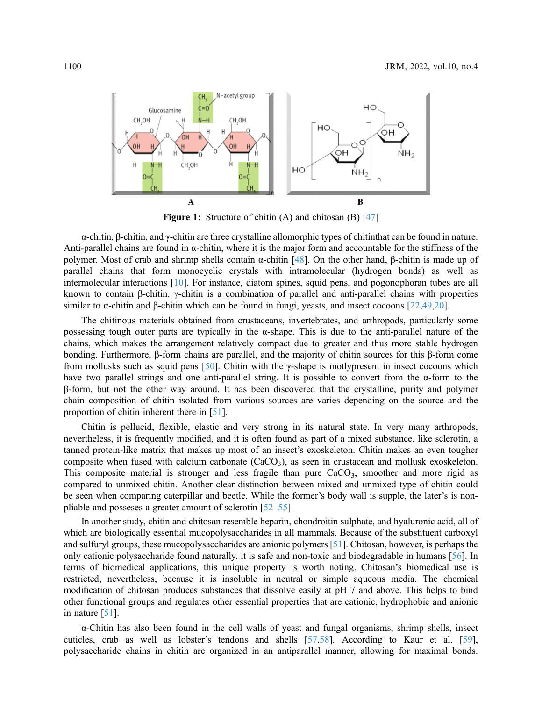<span id="page-3-0"></span>

**Figure 1:** Structure of chitin  $(A)$  and chitosan  $(B)$  [\[47](#page-19-10)]

α-chitin, β-chitin, and γ-chitin are three crystalline allomorphic types of chitinthat can be found in nature. Anti-parallel chains are found in  $\alpha$ -chitin, where it is the major form and accountable for the stiffness of the polymer. Most of crab and shrimp shells contain  $\alpha$ -chitin [[48\]](#page-19-4). On the other hand, β-chitin is made up of parallel chains that form monocyclic crystals with intramolecular (hydrogen bonds) as well as intermolecular interactions [\[10](#page-17-3)]. For instance, diatom spines, squid pens, and pogonophoran tubes are all known to contain β-chitin. γ-chitin is a combination of parallel and anti-parallel chains with properties similar to α-chitin and β-chitin which can be found in fungi, yeasts, and insect cocoons [[22,](#page-17-13)[49](#page-19-5),[20\]](#page-17-11).

The chitinous materials obtained from crustaceans, invertebrates, and arthropods, particularly some possessing tough outer parts are typically in the  $\alpha$ -shape. This is due to the anti-parallel nature of the chains, which makes the arrangement relatively compact due to greater and thus more stable hydrogen bonding. Furthermore, β-form chains are parallel, and the majority of chitin sources for this β-form come from mollusks such as squid pens [[50\]](#page-19-6). Chitin with the  $\gamma$ -shape is motlypresent in insect cocoons which have two parallel strings and one anti-parallel string. It is possible to convert from the  $\alpha$ -form to the β-form, but not the other way around. It has been discovered that the crystalline, purity and polymer chain composition of chitin isolated from various sources are varies depending on the source and the proportion of chitin inherent there in [\[51](#page-19-7)].

Chitin is pellucid, flexible, elastic and very strong in its natural state. In very many arthropods, nevertheless, it is frequently modified, and it is often found as part of a mixed substance, like sclerotin, a tanned protein-like matrix that makes up most of an insect's exoskeleton. Chitin makes an even tougher composite when fused with calcium carbonate  $(CaCO<sub>3</sub>)$ , as seen in crustacean and mollusk exoskeleton. This composite material is stronger and less fragile than pure  $CaCO<sub>3</sub>$ , smoother and more rigid as compared to unmixed chitin. Another clear distinction between mixed and unmixed type of chitin could be seen when comparing caterpillar and beetle. While the former's body wall is supple, the later's is nonpliable and posseses a greater amount of sclerotin [[52](#page-19-8)–[55](#page-19-9)].

In another study, chitin and chitosan resemble heparin, chondroitin sulphate, and hyaluronic acid, all of which are biologically essential mucopolysaccharides in all mammals. Because of the substituent carboxyl and sulfuryl groups, these mucopolysaccharides are anionic polymers [\[51](#page-19-7)]. Chitosan, however, is perhaps the only cationic polysaccharide found naturally, it is safe and non-toxic and biodegradable in humans [[56\]](#page-19-11). In terms of biomedical applications, this unique property is worth noting. Chitosan's biomedical use is restricted, nevertheless, because it is insoluble in neutral or simple aqueous media. The chemical modification of chitosan produces substances that dissolve easily at pH 7 and above. This helps to bind other functional groups and regulates other essential properties that are cationic, hydrophobic and anionic in nature [[51\]](#page-19-7).

α-Chitin has also been found in the cell walls of yeast and fungal organisms, shrimp shells, insect cuticles, crab as well as lobster's tendons and shells [[57,](#page-19-12)[58](#page-19-13)]. According to Kaur et al. [[59\]](#page-19-14), polysaccharide chains in chitin are organized in an antiparallel manner, allowing for maximal bonds.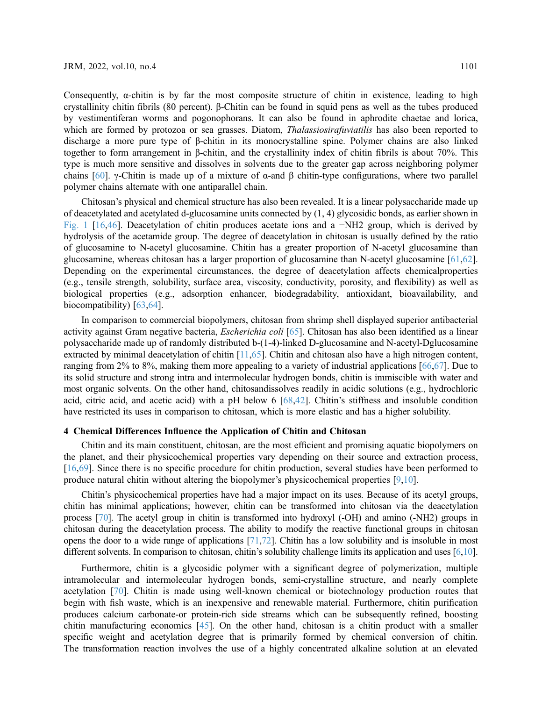Consequently,  $\alpha$ -chitin is by far the most composite structure of chitin in existence, leading to high crystallinity chitin fibrils (80 percent). β-Chitin can be found in squid pens as well as the tubes produced by vestimentiferan worms and pogonophorans. It can also be found in aphrodite chaetae and lorica, which are formed by protozoa or sea grasses. Diatom, *Thalassiosirafuviatilis* has also been reported to discharge a more pure type of β-chitin in its monocrystalline spine. Polymer chains are also linked together to form arrangement in β-chitin, and the crystallinity index of chitin fibrils is about 70%. This type is much more sensitive and dissolves in solvents due to the greater gap across neighboring polymer chains [[60](#page-19-15)]. γ-Chitin is made up of a mixture of α-and β chitin-type configurations, where two parallel polymer chains alternate with one antiparallel chain.

Chitosan's physical and chemical structure has also been revealed. It is a linear polysaccharide made up of deacetylated and acetylated d-glucosamine units connected by (1, 4) glycosidic bonds, as earlier shown in [Fig. 1](#page-3-0) [[16](#page-17-7)[,46](#page-19-3)]. Deacetylation of chitin produces acetate ions and a −NH2 group, which is derived by hydrolysis of the acetamide group. The degree of deacetylation in chitosan is usually defined by the ratio of glucosamine to N-acetyl glucosamine. Chitin has a greater proportion of N-acetyl glucosamine than glucosamine, whereas chitosan has a larger proportion of glucosamine than N-acetyl glucosamine [\[61](#page-19-16),[62\]](#page-19-17). Depending on the experimental circumstances, the degree of deacetylation affects chemicalproperties (e.g., tensile strength, solubility, surface area, viscosity, conductivity, porosity, and flexibility) as well as biological properties (e.g., adsorption enhancer, biodegradability, antioxidant, bioavailability, and biocompatibility) [[63,](#page-20-0)[64\]](#page-20-1).

In comparison to commercial biopolymers, chitosan from shrimp shell displayed superior antibacterial activity against Gram negative bacteria, Escherichia coli [\[65](#page-20-2)]. Chitosan has also been identified as a linear polysaccharide made up of randomly distributed b-(1-4)-linked D-glucosamine and N-acetyl-Dglucosamine extracted by minimal deacetylation of chitin [\[11](#page-17-4)[,65](#page-20-2)]. Chitin and chitosan also have a high nitrogen content, ranging from 2% to 8%, making them more appealing to a variety of industrial applications [[66,](#page-20-3)[67\]](#page-20-4). Due to its solid structure and strong intra and intermolecular hydrogen bonds, chitin is immiscible with water and most organic solvents. On the other hand, chitosandissolves readily in acidic solutions (e.g., hydrochloric acid, citric acid, and acetic acid) with a pH below 6 [\[68](#page-20-5),[42\]](#page-18-17). Chitin's stiffness and insoluble condition have restricted its uses in comparison to chitosan, which is more elastic and has a higher solubility.

### 4 Chemical Differences Influence the Application of Chitin and Chitosan

Chitin and its main constituent, chitosan, are the most efficient and promising aquatic biopolymers on the planet, and their physicochemical properties vary depending on their source and extraction process, [[16](#page-17-7)[,69](#page-20-6)]. Since there is no specific procedure for chitin production, several studies have been performed to produce natural chitin without altering the biopolymer's physicochemical properties [[9](#page-17-2),[10\]](#page-17-3).

Chitin's physicochemical properties have had a major impact on its uses. Because of its acetyl groups, chitin has minimal applications; however, chitin can be transformed into chitosan via the deacetylation process [\[70](#page-20-7)]. The acetyl group in chitin is transformed into hydroxyl (-OH) and amino (-NH2) groups in chitosan during the deacetylation process. The ability to modify the reactive functional groups in chitosan opens the door to a wide range of applications [\[71](#page-20-8),[72](#page-20-9)]. Chitin has a low solubility and is insoluble in most different solvents. In comparison to chitosan, chitin's solubility challenge limits its application and uses [\[6,](#page-16-5)[10\]](#page-17-3).

Furthermore, chitin is a glycosidic polymer with a significant degree of polymerization, multiple intramolecular and intermolecular hydrogen bonds, semi-crystalline structure, and nearly complete acetylation [[70](#page-20-7)]. Chitin is made using well-known chemical or biotechnology production routes that begin with fish waste, which is an inexpensive and renewable material. Furthermore, chitin purification produces calcium carbonate-or protein-rich side streams which can be subsequently refined, boosting chitin manufacturing economics [\[45](#page-19-2)]. On the other hand, chitosan is a chitin product with a smaller specific weight and acetylation degree that is primarily formed by chemical conversion of chitin. The transformation reaction involves the use of a highly concentrated alkaline solution at an elevated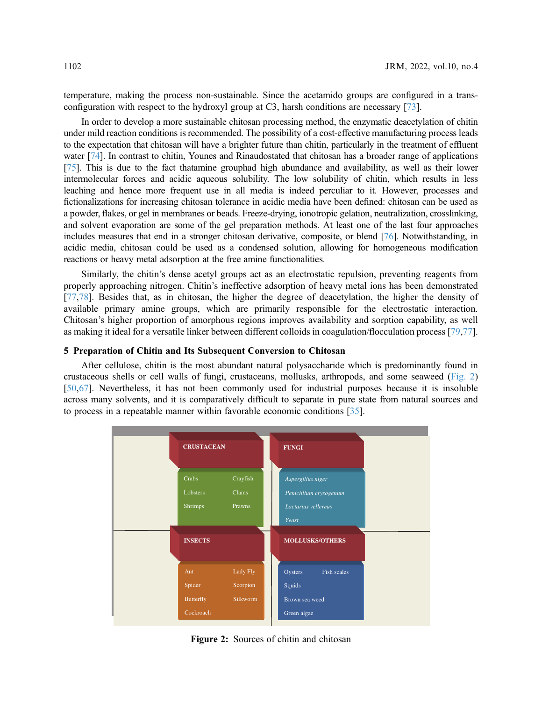temperature, making the process non-sustainable. Since the acetamido groups are configured in a transconfiguration with respect to the hydroxyl group at C3, harsh conditions are necessary [[73\]](#page-20-10).

In order to develop a more sustainable chitosan processing method, the enzymatic deacetylation of chitin under mild reaction conditions is recommended. The possibility of a cost-effective manufacturing process leads to the expectation that chitosan will have a brighter future than chitin, particularly in the treatment of effluent water [\[74\]](#page-20-11). In contrast to chitin, Younes and Rinaudostated that chitosan has a broader range of applications [\[75](#page-20-12)]. This is due to the fact thatamine grouphad high abundance and availability, as well as their lower intermolecular forces and acidic aqueous solubility. The low solubility of chitin, which results in less leaching and hence more frequent use in all media is indeed perculiar to it. However, processes and fictionalizations for increasing chitosan tolerance in acidic media have been defined: chitosan can be used as a powder, flakes, or gel in membranes or beads. Freeze-drying, ionotropic gelation, neutralization, crosslinking, and solvent evaporation are some of the gel preparation methods. At least one of the last four approaches includes measures that end in a stronger chitosan derivative, composite, or blend [\[76\]](#page-20-13). Notwithstanding, in acidic media, chitosan could be used as a condensed solution, allowing for homogeneous modification reactions or heavy metal adsorption at the free amine functionalities.

Similarly, the chitin's dense acetyl groups act as an electrostatic repulsion, preventing reagents from properly approaching nitrogen. Chitin's ineffective adsorption of heavy metal ions has been demonstrated [[77](#page-20-14)[,78](#page-20-15)]. Besides that, as in chitosan, the higher the degree of deacetylation, the higher the density of available primary amine groups, which are primarily responsible for the electrostatic interaction. Chitosan's higher proportion of amorphous regions improves availability and sorption capability, as well as making it ideal for a versatile linker between different colloids in coagulation/flocculation process [\[79](#page-20-16),[77\]](#page-20-14).

### 5 Preparation of Chitin and Its Subsequent Conversion to Chitosan

After cellulose, chitin is the most abundant natural polysaccharide which is predominantly found in crustaceous shells or cell walls of fungi, crustaceans, mollusks, arthropods, and some seaweed [\(Fig. 2\)](#page-5-0) [[50](#page-19-6)[,67](#page-20-4)]. Nevertheless, it has not been commonly used for industrial purposes because it is insoluble across many solvents, and it is comparatively difficult to separate in pure state from natural sources and to process in a repeatable manner within favorable economic conditions [\[35](#page-18-10)].

<span id="page-5-0"></span>

Figure 2: Sources of chitin and chitosan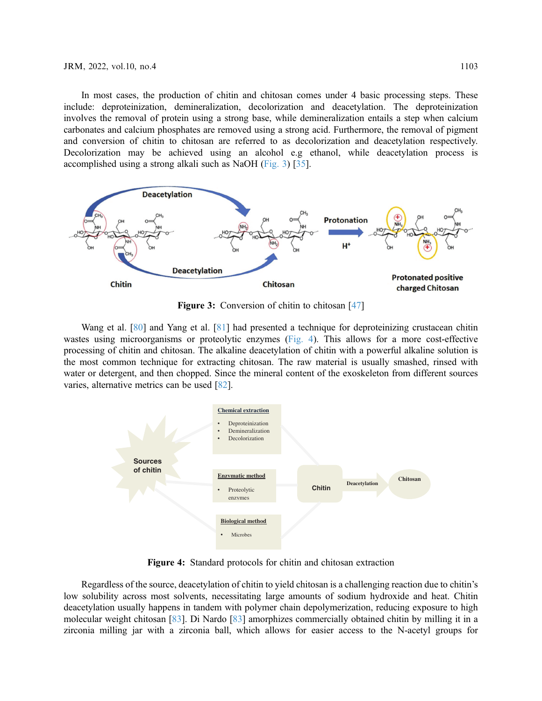In most cases, the production of chitin and chitosan comes under 4 basic processing steps. These include: deproteinization, demineralization, decolorization and deacetylation. The deproteinization involves the removal of protein using a strong base, while demineralization entails a step when calcium carbonates and calcium phosphates are removed using a strong acid. Furthermore, the removal of pigment and conversion of chitin to chitosan are referred to as decolorization and deacetylation respectively. Decolorization may be achieved using an alcohol e.g ethanol, while deacetylation process is accomplished using a strong alkali such as NaOH [\(Fig. 3](#page-6-0)) [[35\]](#page-18-10).

<span id="page-6-0"></span>

Figure 3: Conversion of chitin to chitosan [\[47](#page-19-10)]

Wang et al. [[80\]](#page-20-17) and Yang et al. [[81\]](#page-20-18) had presented a technique for deproteinizing crustacean chitin wastes using microorganisms or proteolytic enzymes ([Fig. 4](#page-6-1)). This allows for a more cost-effective processing of chitin and chitosan. The alkaline deacetylation of chitin with a powerful alkaline solution is the most common technique for extracting chitosan. The raw material is usually smashed, rinsed with water or detergent, and then chopped. Since the mineral content of the exoskeleton from different sources varies, alternative metrics can be used [\[82](#page-20-19)].

<span id="page-6-1"></span>

Figure 4: Standard protocols for chitin and chitosan extraction

Regardless of the source, deacetylation of chitin to yield chitosan is a challenging reaction due to chitin's low solubility across most solvents, necessitating large amounts of sodium hydroxide and heat. Chitin deacetylation usually happens in tandem with polymer chain depolymerization, reducing exposure to high molecular weight chitosan [\[83](#page-21-0)]. Di Nardo [\[83\]](#page-21-0) amorphizes commercially obtained chitin by milling it in a zirconia milling jar with a zirconia ball, which allows for easier access to the N-acetyl groups for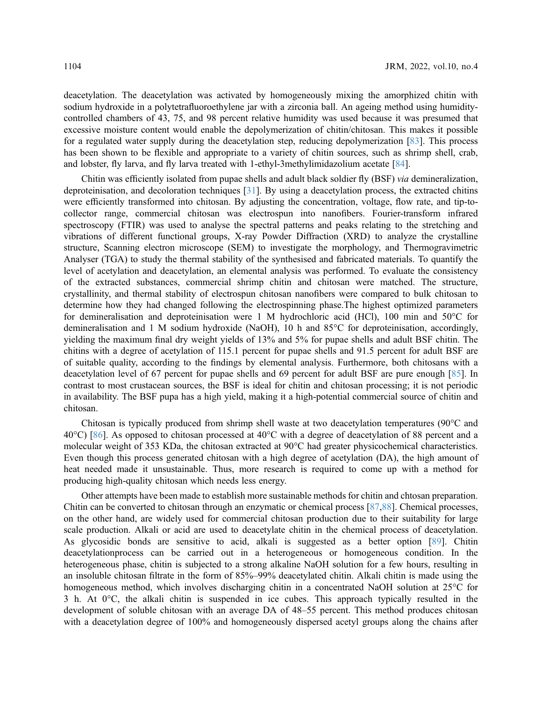deacetylation. The deacetylation was activated by homogeneously mixing the amorphized chitin with sodium hydroxide in a polytetrafluoroethylene jar with a zirconia ball. An ageing method using humiditycontrolled chambers of 43, 75, and 98 percent relative humidity was used because it was presumed that excessive moisture content would enable the depolymerization of chitin/chitosan. This makes it possible for a regulated water supply during the deacetylation step, reducing depolymerization [\[83](#page-21-0)]. This process has been shown to be flexible and appropriate to a variety of chitin sources, such as shrimp shell, crab, and lobster, fly larva, and fly larva treated with 1-ethyl-3methylimidazolium acetate [[84\]](#page-21-1).

Chitin was efficiently isolated from pupae shells and adult black soldier fly (BSF) via demineralization, deproteinisation, and decoloration techniques [[31\]](#page-18-6). By using a deacetylation process, the extracted chitins were efficiently transformed into chitosan. By adjusting the concentration, voltage, flow rate, and tip-tocollector range, commercial chitosan was electrospun into nanofibers. Fourier-transform infrared spectroscopy (FTIR) was used to analyse the spectral patterns and peaks relating to the stretching and vibrations of different functional groups, X-ray Powder Diffraction (XRD) to analyze the crystalline structure, Scanning electron microscope (SEM) to investigate the morphology, and Thermogravimetric Analyser (TGA) to study the thermal stability of the synthesised and fabricated materials. To quantify the level of acetylation and deacetylation, an elemental analysis was performed. To evaluate the consistency of the extracted substances, commercial shrimp chitin and chitosan were matched. The structure, crystallinity, and thermal stability of electrospun chitosan nanofibers were compared to bulk chitosan to determine how they had changed following the electrospinning phase.The highest optimized parameters for demineralisation and deproteinisation were 1 M hydrochloric acid (HCl), 100 min and 50°C for demineralisation and 1 M sodium hydroxide (NaOH), 10 h and 85°C for deproteinisation, accordingly, yielding the maximum final dry weight yields of 13% and 5% for pupae shells and adult BSF chitin. The chitins with a degree of acetylation of 115.1 percent for pupae shells and 91.5 percent for adult BSF are of suitable quality, according to the findings by elemental analysis. Furthermore, both chitosans with a deacetylation level of 67 percent for pupae shells and 69 percent for adult BSF are pure enough [\[85](#page-21-2)]. In contrast to most crustacean sources, the BSF is ideal for chitin and chitosan processing; it is not periodic in availability. The BSF pupa has a high yield, making it a high-potential commercial source of chitin and chitosan.

Chitosan is typically produced from shrimp shell waste at two deacetylation temperatures (90°C and 40°C) [\[86](#page-21-3)]. As opposed to chitosan processed at 40°C with a degree of deacetylation of 88 percent and a molecular weight of 353 KDa, the chitosan extracted at 90°C had greater physicochemical characteristics. Even though this process generated chitosan with a high degree of acetylation (DA), the high amount of heat needed made it unsustainable. Thus, more research is required to come up with a method for producing high-quality chitosan which needs less energy.

Other attempts have been made to establish more sustainable methods for chitin and chtosan preparation. Chitin can be converted to chitosan through an enzymatic or chemical process [[87,](#page-21-4)[88\]](#page-21-5). Chemical processes, on the other hand, are widely used for commercial chitosan production due to their suitability for large scale production. Alkali or acid are used to deacetylate chitin in the chemical process of deacetylation. As glycosidic bonds are sensitive to acid, alkali is suggested as a better option [[89\]](#page-21-6). Chitin deacetylationprocess can be carried out in a heterogeneous or homogeneous condition. In the heterogeneous phase, chitin is subjected to a strong alkaline NaOH solution for a few hours, resulting in an insoluble chitosan filtrate in the form of 85%–99% deacetylated chitin. Alkali chitin is made using the homogeneous method, which involves discharging chitin in a concentrated NaOH solution at 25°C for 3 h. At 0°C, the alkali chitin is suspended in ice cubes. This approach typically resulted in the development of soluble chitosan with an average DA of 48–55 percent. This method produces chitosan with a deacetylation degree of 100% and homogeneously dispersed acetyl groups along the chains after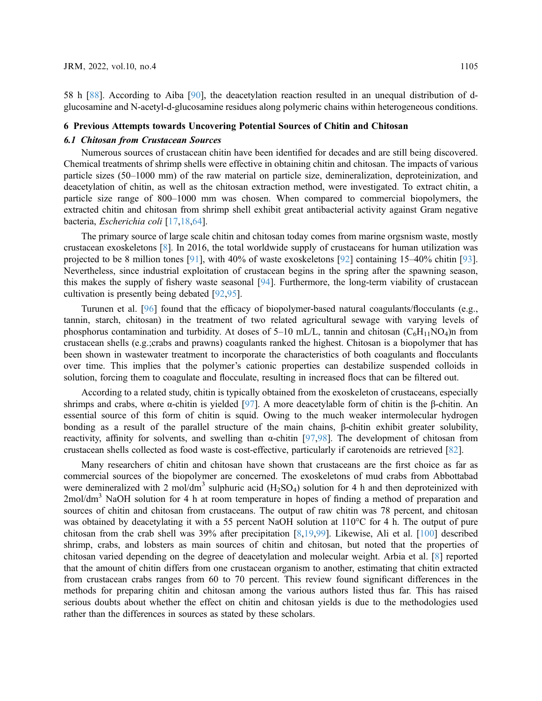58 h [\[88](#page-21-5)]. According to Aiba [[90\]](#page-21-7), the deacetylation reaction resulted in an unequal distribution of dglucosamine and N-acetyl-d-glucosamine residues along polymeric chains within heterogeneous conditions.

# 6 Previous Attempts towards Uncovering Potential Sources of Chitin and Chitosan

Numerous sources of crustacean chitin have been identified for decades and are still being discovered. Chemical treatments of shrimp shells were effective in obtaining chitin and chitosan. The impacts of various particle sizes (50–1000 mm) of the raw material on particle size, demineralization, deproteinization, and deacetylation of chitin, as well as the chitosan extraction method, were investigated. To extract chitin, a particle size range of 800–1000 mm was chosen. When compared to commercial biopolymers, the extracted chitin and chitosan from shrimp shell exhibit great antibacterial activity against Gram negative bacteria, Escherichia coli [\[17](#page-17-8),[18,](#page-17-9)[64](#page-20-1)].

The primary source of large scale chitin and chitosan today comes from marine orgsnism waste, mostly crustacean exoskeletons [\[8\]](#page-17-1). In 2016, the total worldwide supply of crustaceans for human utilization was projected to be 8 million tones [\[91](#page-21-8)], with 40% of waste exoskeletons [\[92](#page-21-9)] containing 15–40% chitin [[93\]](#page-21-10). Nevertheless, since industrial exploitation of crustacean begins in the spring after the spawning season, this makes the supply of fishery waste seasonal [[94](#page-21-11)]. Furthermore, the long-term viability of crustacean cultivation is presently being debated [[92,](#page-21-9)[95\]](#page-21-12).

Turunen et al. [[96\]](#page-21-13) found that the efficacy of biopolymer-based natural coagulants/flocculants (e.g., tannin, starch, chitosan) in the treatment of two related agricultural sewage with varying levels of phosphorus contamination and turbidity. At doses of 5–10 mL/L, tannin and chitosan  $(C_6H_{11}NO_4)$ n from crustacean shells (e.g.;crabs and prawns) coagulants ranked the highest. Chitosan is a biopolymer that has been shown in wastewater treatment to incorporate the characteristics of both coagulants and flocculants over time. This implies that the polymer's cationic properties can destabilize suspended colloids in solution, forcing them to coagulate and flocculate, resulting in increased flocs that can be filtered out.

According to a related study, chitin is typically obtained from the exoskeleton of crustaceans, especially shrimps and crabs, where  $\alpha$ -chitin is yielded [[97\]](#page-21-14). A more deacetylable form of chitin is the β-chitin. An essential source of this form of chitin is squid. Owing to the much weaker intermolecular hydrogen bonding as a result of the parallel structure of the main chains, β-chitin exhibit greater solubility, reactivity, affinity for solvents, and swelling than α-chitin [\[97](#page-21-14),[98\]](#page-21-15). The development of chitosan from crustacean shells collected as food waste is cost-effective, particularly if carotenoids are retrieved [[82](#page-20-19)].

Many researchers of chitin and chitosan have shown that crustaceans are the first choice as far as commercial sources of the biopolymer are concerned. The exoskeletons of mud crabs from Abbottabad were demineralized with 2 mol/dm<sup>3</sup> sulphuric acid  $(H_2SO_4)$  solution for 4 h and then deproteinized with  $2 \text{mol/dm}^3$  NaOH solution for 4 h at room temperature in hopes of finding a method of preparation and sources of chitin and chitosan from crustaceans. The output of raw chitin was 78 percent, and chitosan was obtained by deacetylating it with a 55 percent NaOH solution at 110<sup>o</sup>C for 4 h. The output of pure chitosan from the crab shell was 39% after precipitation [\[8,](#page-17-1)[19,](#page-17-10)[99](#page-21-16)]. Likewise, Ali et al. [\[100\]](#page-21-17) described shrimp, crabs, and lobsters as main sources of chitin and chitosan, but noted that the properties of chitosan varied depending on the degree of deacetylation and molecular weight. Arbia et al. [\[8\]](#page-17-1) reported that the amount of chitin differs from one crustacean organism to another, estimating that chitin extracted from crustacean crabs ranges from 60 to 70 percent. This review found significant differences in the methods for preparing chitin and chitosan among the various authors listed thus far. This has raised serious doubts about whether the effect on chitin and chitosan yields is due to the methodologies used rather than the differences in sources as stated by these scholars.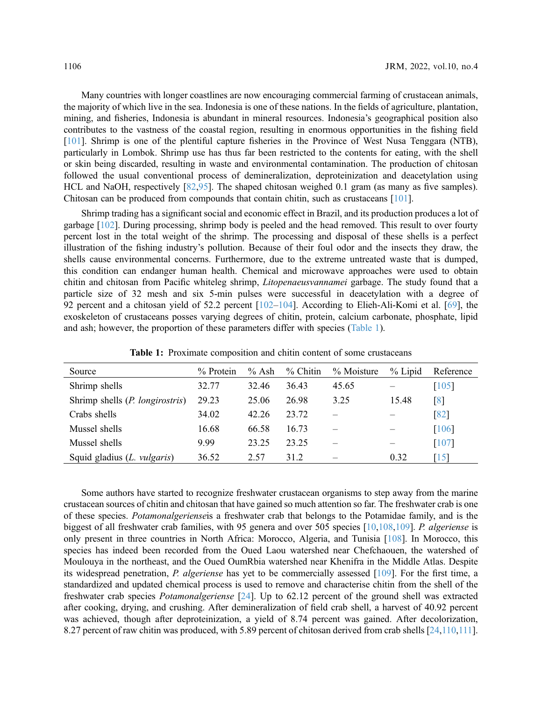Many countries with longer coastlines are now encouraging commercial farming of crustacean animals, the majority of which live in the sea. Indonesia is one of these nations. In the fields of agriculture, plantation, mining, and fisheries, Indonesia is abundant in mineral resources. Indonesia's geographical position also contributes to the vastness of the coastal region, resulting in enormous opportunities in the fishing field [[101\]](#page-21-18). Shrimp is one of the plentiful capture fisheries in the Province of West Nusa Tenggara (NTB), particularly in Lombok. Shrimp use has thus far been restricted to the contents for eating, with the shell or skin being discarded, resulting in waste and environmental contamination. The production of chitosan followed the usual conventional process of demineralization, deproteinization and deacetylation using HCL and NaOH, respectively [[82](#page-20-19)[,95](#page-21-12)]. The shaped chitosan weighed 0.1 gram (as many as five samples). Chitosan can be produced from compounds that contain chitin, such as crustaceans [[101](#page-21-18)].

Shrimp trading has a significant social and economic effect in Brazil, and its production produces a lot of garbage [\[102\]](#page-22-0). During processing, shrimp body is peeled and the head removed. This result to over fourty percent lost in the total weight of the shrimp. The processing and disposal of these shells is a perfect illustration of the fishing industry's pollution. Because of their foul odor and the insects they draw, the shells cause environmental concerns. Furthermore, due to the extreme untreated waste that is dumped, this condition can endanger human health. Chemical and microwave approaches were used to obtain chitin and chitosan from Pacific whiteleg shrimp, *Litopenaeusvannamei* garbage. The study found that a particle size of 32 mesh and six 5-min pulses were successful in deacetylation with a degree of 92 percent and a chitosan yield of 52.2 percent [[102](#page-22-0)–[104\]](#page-22-1). According to Elieh-Ali-Komi et al. [[69\]](#page-20-6), the exoskeleton of crustaceans posses varying degrees of chitin, protein, calcium carbonate, phosphate, lipid and ash; however, the proportion of these parameters differ with species ([Table 1](#page-9-0)).

<span id="page-9-0"></span>

| Source                                   | $%$ Protein | $%$ Ash | $%$ Chitin | $\%$ Moisture | % Lipid | Reference           |
|------------------------------------------|-------------|---------|------------|---------------|---------|---------------------|
| Shrimp shells                            | 32.77       | 32.46   | 36.43      | 45.65         |         | $\lceil 105 \rceil$ |
| Shrimp shells ( <i>P. longirostris</i> ) | 29.23       | 25.06   | 26.98      | 3.25          | 15.48   | $\lceil 8 \rceil$   |
| Crabs shells                             | 34.02       | 42.26   | 23.72      |               |         | $\sqrt{82}$         |
| Mussel shells                            | 16.68       | 66.58   | 16.73      |               |         | [106]               |
| Mussel shells                            | 9.99        | 23.25   | 23.25      |               |         | $[107]$             |
| Squid gladius $(L. \text{ vulgaris})$    | 36.52       | 2.57    | 31.2       |               | 0.32    | $\lceil 15 \rceil$  |

Table 1: Proximate composition and chitin content of some crustaceans

Some authors have started to recognize freshwater crustacean organisms to step away from the marine crustacean sources of chitin and chitosan that have gained so much attention so far. The freshwater crab is one of these species. Potamonalgerienseis a freshwater crab that belongs to the Potamidae family, and is the biggest of all freshwater crab families, with 95 genera and over 505 species [\[10](#page-17-3),[108](#page-22-2),[109](#page-22-3)]. P. algeriense is only present in three countries in North Africa: Morocco, Algeria, and Tunisia [[108](#page-22-2)]. In Morocco, this species has indeed been recorded from the Oued Laou watershed near Chefchaouen, the watershed of Moulouya in the northeast, and the Oued OumRbia watershed near Khenifra in the Middle Atlas. Despite its widespread penetration, P. algeriense has yet to be commercially assessed [[109](#page-22-3)]. For the first time, a standardized and updated chemical process is used to remove and characterise chitin from the shell of the freshwater crab species Potamonalgeriense [\[24](#page-17-15)]. Up to 62.12 percent of the ground shell was extracted after cooking, drying, and crushing. After demineralization of field crab shell, a harvest of 40.92 percent was achieved, though after deproteinization, a yield of 8.74 percent was gained. After decolorization, 8.27 percent of raw chitin was produced, with 5.89 percent of chitosan derived from crab shells [[24,](#page-17-15)[110](#page-22-4)[,111\]](#page-22-5).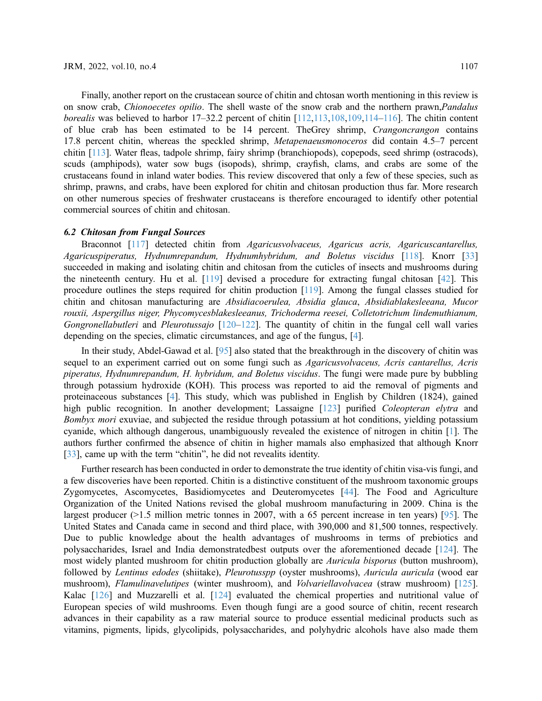Finally, another report on the crustacean source of chitin and chtosan worth mentioning in this review is on snow crab, *Chionoecetes opilio*. The shell waste of the snow crab and the northern prawn, *Pandalus* borealis was believed to harbor 17–32.2 percent of chitin [[112,](#page-22-9)[113,](#page-22-10)[108](#page-22-2)[,109,](#page-22-3)[114](#page-22-11)–[116](#page-22-12)]. The chitin content of blue crab has been estimated to be 14 percent. TheGrey shrimp, Crangoncrangon contains 17.8 percent chitin, whereas the speckled shrimp, Metapenaeusmonoceros did contain 4.5–7 percent chitin [[113\]](#page-22-10). Water fleas, tadpole shrimp, fairy shrimp (branchiopods), copepods, seed shrimp (ostracods), scuds (amphipods), water sow bugs (isopods), shrimp, crayfish, clams, and crabs are some of the crustaceans found in inland water bodies. This review discovered that only a few of these species, such as shrimp, prawns, and crabs, have been explored for chitin and chitosan production thus far. More research on other numerous species of freshwater crustaceans is therefore encouraged to identify other potential commercial sources of chitin and chitosan.

Braconnot [\[117](#page-22-13)] detected chitin from Agaricusvolvaceus, Agaricus acris, Agaricuscantarellus, Agaricuspiperatus, Hydnumrepandum, Hydnumhybridum, and Boletus viscidus [\[118](#page-22-14)]. Knorr [[33\]](#page-18-8) succeeded in making and isolating chitin and chitosan from the cuticles of insects and mushrooms during the nineteenth century. Hu et al. [[119\]](#page-22-15) devised a procedure for extracting fungal chitosan [\[42](#page-18-17)]. This procedure outlines the steps required for chitin production [[119\]](#page-22-15). Among the fungal classes studied for chitin and chitosan manufacturing are Absidiacoerulea, Absidia glauca, Absidiablakesleeana, Mucor rouxii, Aspergillus niger, Phycomycesblakesleeanus, Trichoderma reesei, Colletotrichum lindemuthianum, Gongronellabutleri and Pleurotussajo [\[120](#page-23-0)–[122\]](#page-23-1). The quantity of chitin in the fungal cell wall varies depending on the species, climatic circumstances, and age of the fungus, [\[4\]](#page-16-3).

In their study, Abdel-Gawad et al. [\[95](#page-21-12)] also stated that the breakthrough in the discovery of chitin was sequel to an experiment carried out on some fungi such as Agaricusvolvaceus, Acris cantarellus, Acris piperatus, Hydnumrepandum, H. hybridum, and Boletus viscidus. The fungi were made pure by bubbling through potassium hydroxide (KOH). This process was reported to aid the removal of pigments and proteinaceous substances [\[4\]](#page-16-3). This study, which was published in English by Children (1824), gained high public recognition. In another development; Lassaigne [[123\]](#page-23-2) purified *Coleopteran elytra* and Bombyx mori exuviae, and subjected the residue through potassium at hot conditions, yielding potassium cyanide, which although dangerous, unambiguously revealed the existence of nitrogen in chitin [[1](#page-16-0)]. The authors further confirmed the absence of chitin in higher mamals also emphasized that although Knorr [[33](#page-18-8)], came up with the term "chitin", he did not revealits identity.

Further research has been conducted in order to demonstrate the true identity of chitin visa-vis fungi, and a few discoveries have been reported. Chitin is a distinctive constituent of the mushroom taxonomic groups Zygomycetes, Ascomycetes, Basidiomycetes and Deuteromycetes [[44\]](#page-19-1). The Food and Agriculture Organization of the United Nations revised the global mushroom manufacturing in 2009. China is the largest producer (>1.5 million metric tonnes in 2007, with a 65 percent increase in ten years) [[95\]](#page-21-12). The United States and Canada came in second and third place, with 390,000 and 81,500 tonnes, respectively. Due to public knowledge about the health advantages of mushrooms in terms of prebiotics and polysaccharides, Israel and India demonstratedbest outputs over the aforementioned decade [[124](#page-23-3)]. The most widely planted mushroom for chitin production globally are *Auricula bisporus* (button mushroom), followed by Lentinus edodes (shiitake), Pleurotusspp (oyster mushrooms), Auricula auricula (wood ear mushroom), Flamulinavelutipes (winter mushroom), and Volvariellavolvacea (straw mushroom) [\[125\]](#page-23-4). Kalac [[126](#page-23-5)] and Muzzarelli et al. [\[124\]](#page-23-3) evaluated the chemical properties and nutritional value of European species of wild mushrooms. Even though fungi are a good source of chitin, recent research advances in their capability as a raw material source to produce essential medicinal products such as vitamins, pigments, lipids, glycolipids, polysaccharides, and polyhydric alcohols have also made them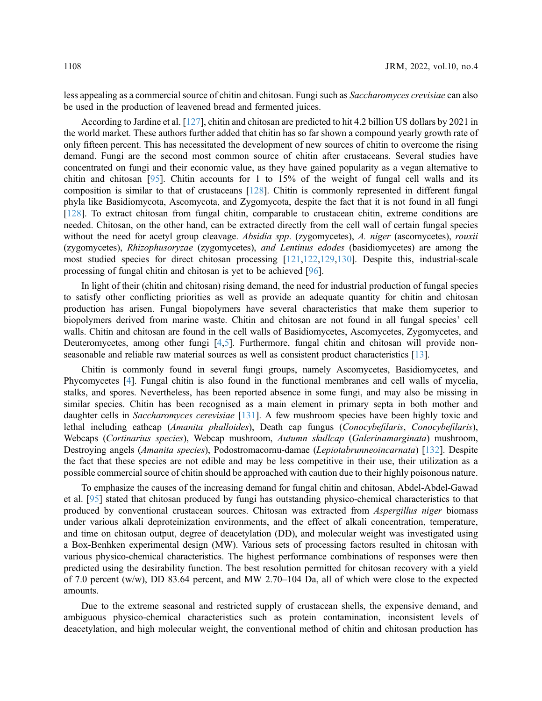less appealing as a commercial source of chitin and chitosan. Fungi such as Saccharomyces crevisiae can also be used in the production of leavened bread and fermented juices.

According to Jardine et al. [\[127\]](#page-23-6), chitin and chitosan are predicted to hit 4.2 billion US dollars by 2021 in the world market. These authors further added that chitin has so far shown a compound yearly growth rate of only fifteen percent. This has necessitated the development of new sources of chitin to overcome the rising demand. Fungi are the second most common source of chitin after crustaceans. Several studies have concentrated on fungi and their economic value, as they have gained popularity as a vegan alternative to chitin and chitosan [[95\]](#page-21-12). Chitin accounts for 1 to 15% of the weight of fungal cell walls and its composition is similar to that of crustaceans [[128](#page-23-7)]. Chitin is commonly represented in different fungal phyla like Basidiomycota, Ascomycota, and Zygomycota, despite the fact that it is not found in all fungi [[128\]](#page-23-7). To extract chitosan from fungal chitin, comparable to crustacean chitin, extreme conditions are needed. Chitosan, on the other hand, can be extracted directly from the cell wall of certain fungal species without the need for acetyl group cleavage. Absidia spp. (zygomycetes), A. niger (ascomycetes), rouxii (zygomycetes), Rhizophusoryzae (zygomycetes), and Lentinus edodes (basidiomycetes) are among the most studied species for direct chitosan processing [\[121,](#page-23-8)[122](#page-23-1),[129](#page-23-9),[130](#page-23-10)]. Despite this, industrial-scale processing of fungal chitin and chitosan is yet to be achieved [[96\]](#page-21-13).

In light of their (chitin and chitosan) rising demand, the need for industrial production of fungal species to satisfy other conflicting priorities as well as provide an adequate quantity for chitin and chitosan production has arisen. Fungal biopolymers have several characteristics that make them superior to biopolymers derived from marine waste. Chitin and chitosan are not found in all fungal species' cell walls. Chitin and chitosan are found in the cell walls of Basidiomycetes, Ascomycetes, Zygomycetes, and Deuteromycetes, among other fungi [\[4,](#page-16-3)[5](#page-16-4)]. Furthermore, fungal chitin and chitosan will provide nonseasonable and reliable raw material sources as well as consistent product characteristics [[13](#page-17-5)].

Chitin is commonly found in several fungi groups, namely Ascomycetes, Basidiomycetes, and Phycomycetes [[4](#page-16-3)]. Fungal chitin is also found in the functional membranes and cell walls of mycelia, stalks, and spores. Nevertheless, has been reported absence in some fungi, and may also be missing in similar species. Chitin has been recognised as a main element in primary septa in both mother and daughter cells in Saccharomyces cerevisiae [[131](#page-23-11)]. A few mushroom species have been highly toxic and lethal including eathcap (Amanita phalloides), Death cap fungus (Conocybefilaris, Conocybefilaris), Webcaps (Cortinarius species), Webcap mushroom, Autumn skullcap (Galerinamarginata) mushroom, Destroying angels (Amanita species), Podostromacornu-damae (Lepiotabrunneoincarnata) [\[132\]](#page-23-12). Despite the fact that these species are not edible and may be less competitive in their use, their utilization as a possible commercial source of chitin should be approached with caution due to their highly poisonous nature.

To emphasize the causes of the increasing demand for fungal chitin and chitosan, Abdel-Abdel-Gawad et al. [\[95](#page-21-12)] stated that chitosan produced by fungi has outstanding physico-chemical characteristics to that produced by conventional crustacean sources. Chitosan was extracted from Aspergillus niger biomass under various alkali deproteinization environments, and the effect of alkali concentration, temperature, and time on chitosan output, degree of deacetylation (DD), and molecular weight was investigated using a Box-Benhken experimental design (MW). Various sets of processing factors resulted in chitosan with various physico-chemical characteristics. The highest performance combinations of responses were then predicted using the desirability function. The best resolution permitted for chitosan recovery with a yield of 7.0 percent (w/w), DD 83.64 percent, and MW 2.70–104 Da, all of which were close to the expected amounts.

Due to the extreme seasonal and restricted supply of crustacean shells, the expensive demand, and ambiguous physico-chemical characteristics such as protein contamination, inconsistent levels of deacetylation, and high molecular weight, the conventional method of chitin and chitosan production has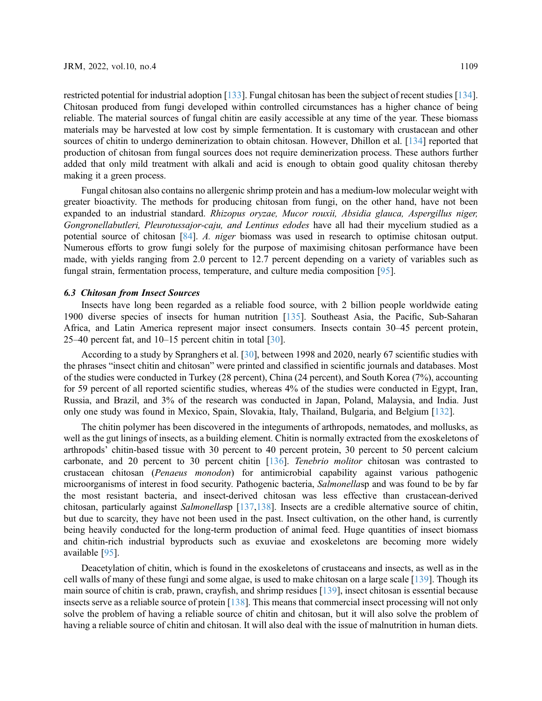restricted potential for industrial adoption [[133](#page-23-13)]. Fungal chitosan has been the subject of recent studies [\[134\]](#page-23-14). Chitosan produced from fungi developed within controlled circumstances has a higher chance of being reliable. The material sources of fungal chitin are easily accessible at any time of the year. These biomass materials may be harvested at low cost by simple fermentation. It is customary with crustacean and other sources of chitin to undergo deminerization to obtain chitosan. However, Dhillon et al. [\[134\]](#page-23-14) reported that production of chitosan from fungal sources does not require deminerization process. These authors further added that only mild treatment with alkali and acid is enough to obtain good quality chitosan thereby making it a green process.

Fungal chitosan also contains no allergenic shrimp protein and has a medium-low molecular weight with greater bioactivity. The methods for producing chitosan from fungi, on the other hand, have not been expanded to an industrial standard. Rhizopus oryzae, Mucor rouxii, Absidia glauca, Aspergillus niger, Gongronellabutleri, Pleurotussajor-caju, and Lentinus edodes have all had their mycelium studied as a potential source of chitosan [[84\]](#page-21-1). A. niger biomass was used in research to optimise chitosan output. Numerous efforts to grow fungi solely for the purpose of maximising chitosan performance have been made, with yields ranging from 2.0 percent to 12.7 percent depending on a variety of variables such as fungal strain, fermentation process, temperature, and culture media composition [\[95](#page-21-12)].

Insects have long been regarded as a reliable food source, with 2 billion people worldwide eating 1900 diverse species of insects for human nutrition [\[135\]](#page-23-15). Southeast Asia, the Pacific, Sub-Saharan Africa, and Latin America represent major insect consumers. Insects contain 30–45 percent protein, 25–40 percent fat, and 10–15 percent chitin in total [\[30](#page-18-5)].

According to a study by Spranghers et al. [[30\]](#page-18-5), between 1998 and 2020, nearly 67 scientific studies with the phrases "insect chitin and chitosan" were printed and classified in scientific journals and databases. Most of the studies were conducted in Turkey (28 percent), China (24 percent), and South Korea (7%), accounting for 59 percent of all reported scientific studies, whereas 4% of the studies were conducted in Egypt, Iran, Russia, and Brazil, and 3% of the research was conducted in Japan, Poland, Malaysia, and India. Just only one study was found in Mexico, Spain, Slovakia, Italy, Thailand, Bulgaria, and Belgium [\[132\]](#page-23-12).

The chitin polymer has been discovered in the integuments of arthropods, nematodes, and mollusks, as well as the gut linings of insects, as a building element. Chitin is normally extracted from the exoskeletons of arthropods' chitin-based tissue with 30 percent to 40 percent protein, 30 percent to 50 percent calcium carbonate, and 20 percent to 30 percent chitin [\[136\]](#page-23-16). Tenebrio molitor chitosan was contrasted to crustacean chitosan (Penaeus monodon) for antimicrobial capability against various pathogenic microorganisms of interest in food security. Pathogenic bacteria, Salmonellasp and was found to be by far the most resistant bacteria, and insect-derived chitosan was less effective than crustacean-derived chitosan, particularly against Salmonellasp [[137](#page-23-17),[138](#page-23-18)]. Insects are a credible alternative source of chitin, but due to scarcity, they have not been used in the past. Insect cultivation, on the other hand, is currently being heavily conducted for the long-term production of animal feed. Huge quantities of insect biomass and chitin-rich industrial byproducts such as exuviae and exoskeletons are becoming more widely available [[95\]](#page-21-12).

Deacetylation of chitin, which is found in the exoskeletons of crustaceans and insects, as well as in the cell walls of many of these fungi and some algae, is used to make chitosan on a large scale [\[139\]](#page-23-19). Though its main source of chitin is crab, prawn, crayfish, and shrimp residues [\[139\]](#page-23-19), insect chitosan is essential because insects serve as a reliable source of protein [[138\]](#page-23-18). This means that commercial insect processing will not only solve the problem of having a reliable source of chitin and chitosan, but it will also solve the problem of having a reliable source of chitin and chitosan. It will also deal with the issue of malnutrition in human diets.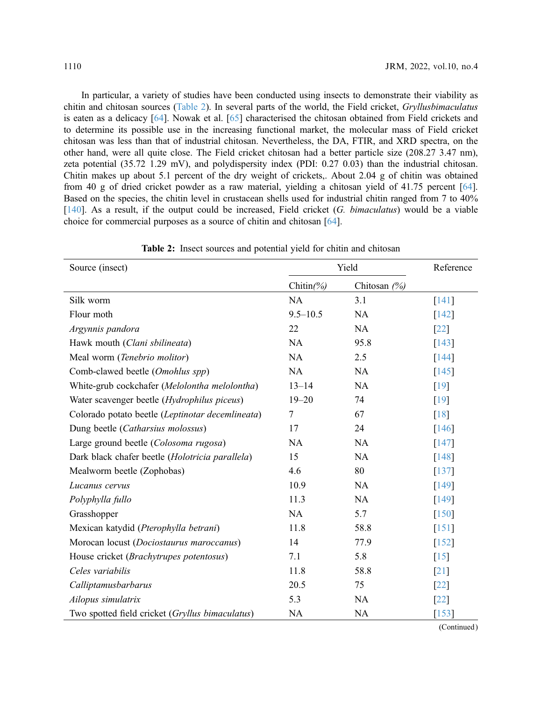In particular, a variety of studies have been conducted using insects to demonstrate their viability as chitin and chitosan sources [\(Table 2\)](#page-13-0). In several parts of the world, the Field cricket, Gryllusbimaculatus is eaten as a delicacy [\[64](#page-20-1)]. Nowak et al. [[65](#page-20-2)] characterised the chitosan obtained from Field crickets and to determine its possible use in the increasing functional market, the molecular mass of Field cricket chitosan was less than that of industrial chitosan. Nevertheless, the DA, FTIR, and XRD spectra, on the other hand, were all quite close. The Field cricket chitosan had a better particle size (208.27 3.47 nm), zeta potential (35.72 1.29 mV), and polydispersity index (PDI: 0.27 0.03) than the industrial chitosan. Chitin makes up about 5.1 percent of the dry weight of crickets,. About 2.04 g of chitin was obtained from 40 g of dried cricket powder as a raw material, yielding a chitosan yield of 41.75 percent [[64\]](#page-20-1). Based on the species, the chitin level in crustacean shells used for industrial chitin ranged from 7 to 40%  $[140]$  $[140]$ . As a result, if the output could be increased, Field cricket (G. bimaculatus) would be a viable choice for commercial purposes as a source of chitin and chitosan [[64\]](#page-20-1).

<span id="page-13-0"></span>

| Source (insect)                                  | Yield        |                | Reference           |
|--------------------------------------------------|--------------|----------------|---------------------|
|                                                  | Chitin(%)    | Chitosan $(%)$ |                     |
| Silk worm                                        | <b>NA</b>    | 3.1            | [141]               |
| Flour moth                                       | $9.5 - 10.5$ | NA             | $[142]$             |
| Argynnis pandora                                 | 22           | <b>NA</b>      | $\left[22\right]$   |
| Hawk mouth (Clani sbilineata)                    | NA           | 95.8           | [143]               |
| Meal worm (Tenebrio molitor)                     | NA           | 2.5            | [144]               |
| Comb-clawed beetle (Omohlus spp)                 | NA           | NA             | $\lceil 145 \rceil$ |
| White-grub cockchafer (Melolontha melolontha)    | $13 - 14$    | <b>NA</b>      | [19]                |
| Water scavenger beetle (Hydrophilus piceus)      | $19 - 20$    | 74             | [19]                |
| Colorado potato beetle (Leptinotar decemlineata) | 7            | 67             | $\lceil 18 \rceil$  |
| Dung beetle (Catharsius molossus)                | 17           | 24             | $[146]$             |
| Large ground beetle (Colosoma rugosa)            | NA           | NA             | $[147]$             |
| Dark black chafer beetle (Holotricia parallela)  | 15           | NA             | [148]               |
| Mealworm beetle (Zophobas)                       | 4.6          | 80             | $[137]$             |
| Lucanus cervus                                   | 10.9         | NA             | [149]               |
| Polyphylla fullo                                 | 11.3         | NA             | [149]               |
| Grasshopper                                      | NA           | 5.7            | [150]               |
| Mexican katydid (Pterophylla betrani)            | 11.8         | 58.8           | $[151]$             |
| Morocan locust (Dociostaurus maroccanus)         | 14           | 77.9           | $\lceil 152 \rceil$ |
| House cricket (Brachytrupes potentosus)          | 7.1          | 5.8            | $[15]$              |
| Celes variabilis                                 | 11.8         | 58.8           | $[21]$              |
| Calliptamusbarbarus                              | 20.5         | 75             | $\lceil 22 \rceil$  |
| Ailopus simulatrix                               | 5.3          | NA             | $\lceil 22 \rceil$  |
| Two spotted field cricket (Gryllus bimaculatus)  | <b>NA</b>    | <b>NA</b>      | $\lceil 153 \rceil$ |

Table 2: Insect sources and potential yield for chitin and chitosan

(Continued)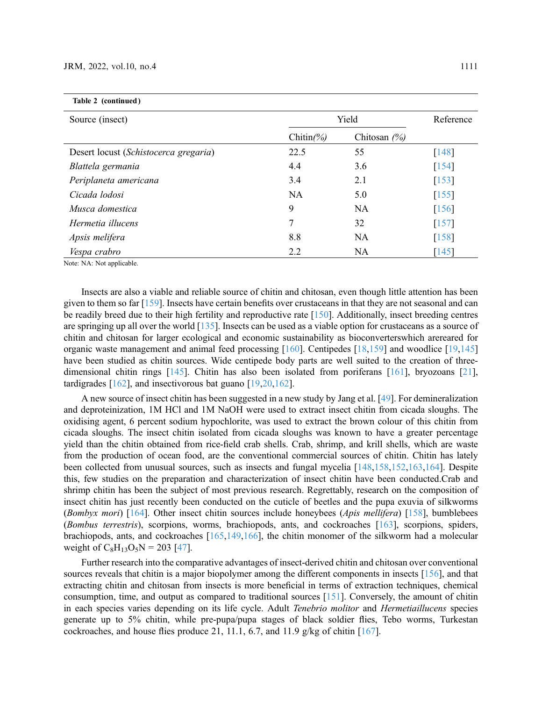| Table 2 (continued)                   |           |                |                     |
|---------------------------------------|-----------|----------------|---------------------|
| Source (insect)                       | Yield     |                | Reference           |
|                                       | Chitin(%) | Chitosan $(%)$ |                     |
| Desert locust (Schistocerca gregaria) | 22.5      | 55             | [148]               |
| Blattela germania                     | 4.4       | 3.6            | $[154]$             |
| Periplaneta americana                 | 3.4       | 2.1            | $\lceil 153 \rceil$ |
| Cicada lodosi                         | <b>NA</b> | 5.0            | $[155]$             |
| Musca domestica                       | 9         | <b>NA</b>      | [156]               |
| Hermetia illucens                     | 7         | 32             | $[157]$             |
| Apsis melifera                        | 8.8       | NA             | $[158]$             |
| Vespa crabro                          | 2.2       | NA             | $\lceil 145 \rceil$ |

Note: NA: Not applicable.

Insects are also a viable and reliable source of chitin and chitosan, even though little attention has been given to them so far [\[159\]](#page-25-0). Insects have certain benefits over crustaceans in that they are not seasonal and can be readily breed due to their high fertility and reproductive rate [[150](#page-24-10)]. Additionally, insect breeding centres are springing up all over the world [\[135\]](#page-23-15). Insects can be used as a viable option for crustaceans as a source of chitin and chitosan for larger ecological and economic sustainability as bioconverterswhich arereared for organic waste management and animal feed processing [\[160\]](#page-25-1). Centipedes [\[18](#page-17-9)[,159\]](#page-25-0) and woodlice [\[19](#page-17-10)[,145\]](#page-24-5) have been studied as chitin sources. Wide centipede body parts are well suited to the creation of threedimensional chitin rings [[145](#page-24-5)]. Chitin has also been isolated from poriferans [[161](#page-25-2)], bryozoans [[21\]](#page-17-12), tardigrades [[162](#page-25-3)], and insectivorous bat guano [[19,](#page-17-10)[20,](#page-17-11)[162\]](#page-25-3).

A new source of insect chitin has been suggested in a new study by Jang et al. [[49](#page-19-5)]. For demineralization and deproteinization, 1M HCl and 1M NaOH were used to extract insect chitin from cicada sloughs. The oxidising agent, 6 percent sodium hypochlorite, was used to extract the brown colour of this chitin from cicada sloughs. The insect chitin isolated from cicada sloughs was known to have a greater percentage yield than the chitin obtained from rice-field crab shells. Crab, shrimp, and krill shells, which are waste from the production of ocean food, are the conventional commercial sources of chitin. Chitin has lately been collected from unusual sources, such as insects and fungal mycelia [[148](#page-24-8)[,158](#page-25-4)[,152,](#page-24-12)[163](#page-25-5)[,164\]](#page-25-6). Despite this, few studies on the preparation and characterization of insect chitin have been conducted.Crab and shrimp chitin has been the subject of most previous research. Regrettably, research on the composition of insect chitin has just recently been conducted on the cuticle of beetles and the pupa exuvia of silkworms (Bombyx mori)  $[164]$  $[164]$  $[164]$ . Other insect chitin sources include honeybees (Apis mellifera)  $[158]$ , bumblebees (Bombus terrestris), scorpions, worms, brachiopods, ants, and cockroaches [\[163](#page-25-5)], scorpions, spiders, brachiopods, ants, and cockroaches [[165](#page-25-7),[149](#page-24-9)[,166\]](#page-25-8), the chitin monomer of the silkworm had a molecular weight of  $C_8H_{13}O_5N = 203$  [\[47](#page-19-10)].

Further research into the comparative advantages of insect-derived chitin and chitosan over conventional sources reveals that chitin is a major biopolymer among the different components in insects [\[156\]](#page-25-9), and that extracting chitin and chitosan from insects is more beneficial in terms of extraction techniques, chemical consumption, time, and output as compared to traditional sources [[151](#page-24-11)]. Conversely, the amount of chitin in each species varies depending on its life cycle. Adult Tenebrio molitor and Hermetiaillucens species generate up to 5% chitin, while pre-pupa/pupa stages of black soldier flies, Tebo worms, Turkestan cockroaches, and house flies produce 21, 11.1, 6.7, and 11.9 g/kg of chitin  $[167]$  $[167]$  $[167]$ .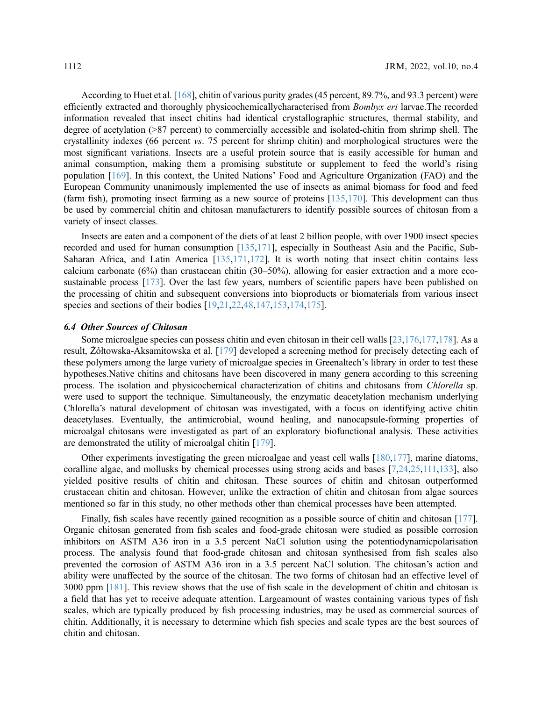According to Huet et al. [\[168\]](#page-25-12), chitin of various purity grades (45 percent, 89.7%, and 93.3 percent) were efficiently extracted and thoroughly physicochemicallycharacterised from Bombyx eri larvae.The recorded information revealed that insect chitins had identical crystallographic structures, thermal stability, and degree of acetylation (>87 percent) to commercially accessible and isolated-chitin from shrimp shell. The crystallinity indexes (66 percent vs. 75 percent for shrimp chitin) and morphological structures were the most significant variations. Insects are a useful protein source that is easily accessible for human and animal consumption, making them a promising substitute or supplement to feed the world's rising population [[169](#page-25-13)]. In this context, the United Nations' Food and Agriculture Organization (FAO) and the European Community unanimously implemented the use of insects as animal biomass for food and feed (farm fish), promoting insect farming as a new source of proteins [[135](#page-23-15)[,170](#page-25-14)]. This development can thus be used by commercial chitin and chitosan manufacturers to identify possible sources of chitosan from a variety of insect classes.

Insects are eaten and a component of the diets of at least 2 billion people, with over 1900 insect species recorded and used for human consumption [\[135](#page-23-15)[,171\]](#page-25-15), especially in Southeast Asia and the Pacific, Sub-Saharan Africa, and Latin America [\[135,](#page-23-15)[171,](#page-25-15)[172\]](#page-25-16). It is worth noting that insect chitin contains less calcium carbonate (6%) than crustacean chitin (30–50%), allowing for easier extraction and a more ecosustainable process [\[173\]](#page-25-17). Over the last few years, numbers of scientific papers have been published on the processing of chitin and subsequent conversions into bioproducts or biomaterials from various insect species and sections of their bodies [\[19](#page-17-10),[21,](#page-17-12)[22,](#page-17-13)[48](#page-19-4),[147](#page-24-7)[,153,](#page-24-13)[174](#page-25-18)[,175\]](#page-26-0).

Some microalgae species can possess chitin and even chitosan in their cell walls  $[23,176,177,178]$  $[23,176,177,178]$  $[23,176,177,178]$  $[23,176,177,178]$  $[23,176,177,178]$ . As a result, Żółtowska-Aksamitowska et al. [\[179\]](#page-26-4) developed a screening method for precisely detecting each of these polymers among the large variety of microalgae species in Greenaltech's library in order to test these hypotheses.Native chitins and chitosans have been discovered in many genera according to this screening process. The isolation and physicochemical characterization of chitins and chitosans from Chlorella sp. were used to support the technique. Simultaneously, the enzymatic deacetylation mechanism underlying Chlorella's natural development of chitosan was investigated, with a focus on identifying active chitin deacetylases. Eventually, the antimicrobial, wound healing, and nanocapsule-forming properties of microalgal chitosans were investigated as part of an exploratory biofunctional analysis. These activities are demonstrated the utility of microalgal chitin [[179](#page-26-4)].

Other experiments investigating the green microalgae and yeast cell walls [\[180,](#page-26-5)[177](#page-26-2)], marine diatoms, coralline algae, and mollusks by chemical processes using strong acids and bases [\[7](#page-17-0)[,24](#page-17-15)[,25](#page-18-0),[111,](#page-22-5)[133\]](#page-23-13), also yielded positive results of chitin and chitosan. These sources of chitin and chitosan outperformed crustacean chitin and chitosan. However, unlike the extraction of chitin and chitosan from algae sources mentioned so far in this study, no other methods other than chemical processes have been attempted.

Finally, fish scales have recently gained recognition as a possible source of chitin and chitosan [\[177\]](#page-26-2). Organic chitosan generated from fish scales and food-grade chitosan were studied as possible corrosion inhibitors on ASTM A36 iron in a 3.5 percent NaCl solution using the potentiodynamicpolarisation process. The analysis found that food-grade chitosan and chitosan synthesised from fish scales also prevented the corrosion of ASTM A36 iron in a 3.5 percent NaCl solution. The chitosan's action and ability were unaffected by the source of the chitosan. The two forms of chitosan had an effective level of 3000 ppm [[181\]](#page-26-6). This review shows that the use of fish scale in the development of chitin and chitosan is a field that has yet to receive adequate attention. Largeamount of wastes containing various types of fish scales, which are typically produced by fish processing industries, may be used as commercial sources of chitin. Additionally, it is necessary to determine which fish species and scale types are the best sources of chitin and chitosan.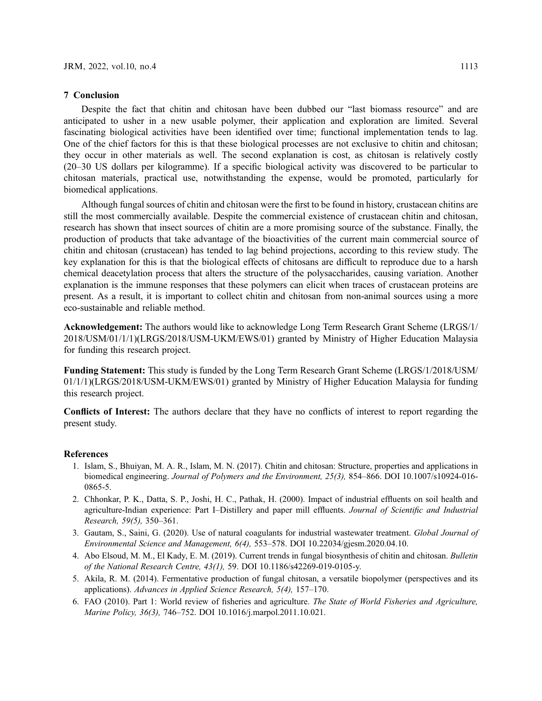#### 7 Conclusion

Despite the fact that chitin and chitosan have been dubbed our "last biomass resource" and are anticipated to usher in a new usable polymer, their application and exploration are limited. Several fascinating biological activities have been identified over time; functional implementation tends to lag. One of the chief factors for this is that these biological processes are not exclusive to chitin and chitosan; they occur in other materials as well. The second explanation is cost, as chitosan is relatively costly (20–30 US dollars per kilogramme). If a specific biological activity was discovered to be particular to chitosan materials, practical use, notwithstanding the expense, would be promoted, particularly for biomedical applications.

Although fungal sources of chitin and chitosan were the first to be found in history, crustacean chitins are still the most commercially available. Despite the commercial existence of crustacean chitin and chitosan, research has shown that insect sources of chitin are a more promising source of the substance. Finally, the production of products that take advantage of the bioactivities of the current main commercial source of chitin and chitosan (crustacean) has tended to lag behind projections, according to this review study. The key explanation for this is that the biological effects of chitosans are difficult to reproduce due to a harsh chemical deacetylation process that alters the structure of the polysaccharides, causing variation. Another explanation is the immune responses that these polymers can elicit when traces of crustacean proteins are present. As a result, it is important to collect chitin and chitosan from non-animal sources using a more eco-sustainable and reliable method.

Acknowledgement: The authors would like to acknowledge Long Term Research Grant Scheme (LRGS/1/ 2018/USM/01/1/1)(LRGS/2018/USM-UKM/EWS/01) granted by Ministry of Higher Education Malaysia for funding this research project.

Funding Statement: This study is funded by the Long Term Research Grant Scheme (LRGS/1/2018/USM/ 01/1/1)(LRGS/2018/USM-UKM/EWS/01) granted by Ministry of Higher Education Malaysia for funding this research project.

Conflicts of Interest: The authors declare that they have no conflicts of interest to report regarding the present study.

### <span id="page-16-0"></span>References

- 1. Islam, S., Bhuiyan, M. A. R., Islam, M. N. (2017). Chitin and chitosan: Structure, properties and applications in biomedical engineering. Journal of Polymers and the Environment, 25(3), 854–866. DOI [10.1007/s10924-016-](http://dx.doi.org/10.1007/s10924-016-0865-5) [0865-5.](http://dx.doi.org/10.1007/s10924-016-0865-5)
- <span id="page-16-1"></span>2. Chhonkar, P. K., Datta, S. P., Joshi, H. C., Pathak, H. (2000). Impact of industrial effluents on soil health and agriculture-Indian experience: Part I–Distillery and paper mill effluents. Journal of Scientific and Industrial Research, 59(5), 350–361.
- <span id="page-16-2"></span>3. Gautam, S., Saini, G. (2020). Use of natural coagulants for industrial wastewater treatment. Global Journal of Environmental Science and Management, 6(4), 553–578. DOI [10.22034/gjesm.2020.04.10](http://dx.doi.org/10.22034/gjesm.2020.04.10).
- <span id="page-16-3"></span>4. Abo Elsoud, M. M., El Kady, E. M. (2019). Current trends in fungal biosynthesis of chitin and chitosan. Bulletin of the National Research Centre, 43(1), 59. DOI [10.1186/s42269-019-0105-y.](http://dx.doi.org/10.1186/s42269-019-0105-y)
- <span id="page-16-4"></span>5. Akila, R. M. (2014). Fermentative production of fungal chitosan, a versatile biopolymer (perspectives and its applications). Advances in Applied Science Research, 5(4), 157–170.
- <span id="page-16-5"></span>6. FAO (2010). Part 1: World review of fisheries and agriculture. The State of World Fisheries and Agriculture, Marine Policy, 36(3), 746–752. DOI [10.1016/j.marpol.2011.10.021.](http://dx.doi.org/10.1016/j.marpol.2011.10.021)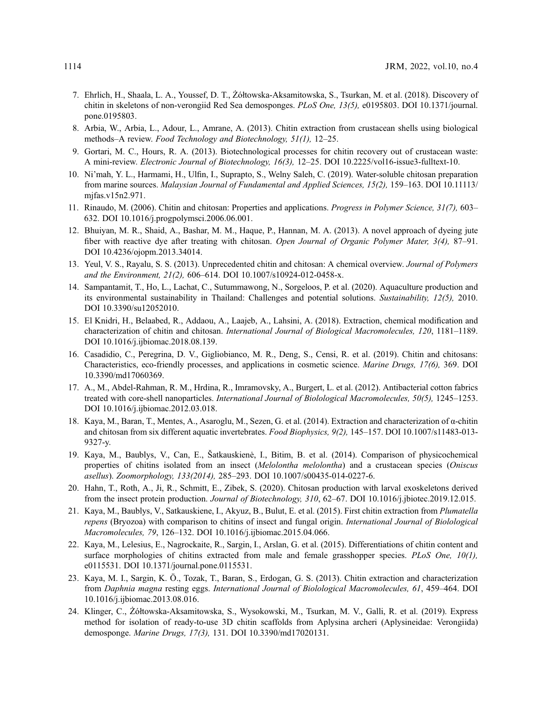- <span id="page-17-0"></span>7. Ehrlich, H., Shaala, L. A., Youssef, D. T., Żółtowska-Aksamitowska, S., Tsurkan, M. et al. (2018). Discovery of chitin in skeletons of non-verongiid Red Sea demosponges. PLoS One, 13(5), e0195803. DOI [10.1371/journal.](http://dx.doi.org/10.1371/journal.pone.0195803) [pone.0195803](http://dx.doi.org/10.1371/journal.pone.0195803).
- <span id="page-17-1"></span>8. Arbia, W., Arbia, L., Adour, L., Amrane, A. (2013). Chitin extraction from crustacean shells using biological methods–A review. Food Technology and Biotechnology, 51(1), 12–25.
- <span id="page-17-2"></span>9. Gortari, M. C., Hours, R. A. (2013). Biotechnological processes for chitin recovery out of crustacean waste: A mini-review. Electronic Journal of Biotechnology, 16(3), 12–25. DOI [10.2225/vol16-issue3-fulltext-10.](http://dx.doi.org/10.2225/vol16-issue3-fulltext-10)
- <span id="page-17-3"></span>10. Ni'mah, Y. L., Harmami, H., Ulfin, I., Suprapto, S., Welny Saleh, C. (2019). Water-soluble chitosan preparation from marine sources. Malaysian Journal of Fundamental and Applied Sciences, 15(2), 159-163. DOI [10.11113/](http://dx.doi.org/10.11113/mjfas.v15n2.971) [mjfas.v15n2.971](http://dx.doi.org/10.11113/mjfas.v15n2.971).
- <span id="page-17-4"></span>11. Rinaudo, M. (2006). Chitin and chitosan: Properties and applications. Progress in Polymer Science, 31(7), 603– 632. DOI [10.1016/j.progpolymsci.2006.06.001](http://dx.doi.org/10.1016/j.progpolymsci.2006.06.001).
- <span id="page-17-16"></span>12. Bhuiyan, M. R., Shaid, A., Bashar, M. M., Haque, P., Hannan, M. A. (2013). A novel approach of dyeing jute fiber with reactive dye after treating with chitosan. Open Journal of Organic Polymer Mater, 3(4), 87–91. DOI [10.4236/ojopm.2013.34014](http://dx.doi.org/10.4236/ojopm.2013.34014).
- <span id="page-17-5"></span>13. Yeul, V. S., Rayalu, S. S. (2013). Unprecedented chitin and chitosan: A chemical overview. Journal of Polymers and the Environment, 21(2), 606–614. DOI [10.1007/s10924-012-0458-x](http://dx.doi.org/10.1007/s10924-012-0458-x).
- <span id="page-17-6"></span>14. Sampantamit, T., Ho, L., Lachat, C., Sutummawong, N., Sorgeloos, P. et al. (2020). Aquaculture production and its environmental sustainability in Thailand: Challenges and potential solutions. Sustainability, 12(5), 2010. DOI [10.3390/su12052010.](http://dx.doi.org/10.3390/su12052010)
- <span id="page-17-17"></span>15. El Knidri, H., Belaabed, R., Addaou, A., Laajeb, A., Lahsini, A. (2018). Extraction, chemical modification and characterization of chitin and chitosan. International Journal of Biological Macromolecules, 120, 1181–1189. DOI [10.1016/j.ijbiomac.2018.08.139](http://dx.doi.org/10.1016/j.ijbiomac.2018.08.139).
- <span id="page-17-7"></span>16. Casadidio, C., Peregrina, D. V., Gigliobianco, M. R., Deng, S., Censi, R. et al. (2019). Chitin and chitosans: Characteristics, eco-friendly processes, and applications in cosmetic science. Marine Drugs, 17(6), 369. DOI [10.3390/md17060369](http://dx.doi.org/10.3390/md17060369).
- <span id="page-17-8"></span>17. A., M., Abdel-Rahman, R. M., Hrdina, R., Imramovsky, A., Burgert, L. et al. (2012). Antibacterial cotton fabrics treated with core-shell nanoparticles. International Journal of Biolological Macromolecules, 50(5), 1245–1253. DOI [10.1016/j.ijbiomac.2012.03.018](http://dx.doi.org/10.1016/j.ijbiomac.2012.03.018).
- <span id="page-17-9"></span>18. Kaya, M., Baran, T., Mentes, A., Asaroglu, M., Sezen, G. et al. (2014). Extraction and characterization of α-chitin and chitosan from six different aquatic invertebrates. Food Biophysics, 9(2), 145–157. DOI [10.1007/s11483-013-](http://dx.doi.org/10.1007/s11483-013-9327-y) [9327-y.](http://dx.doi.org/10.1007/s11483-013-9327-y)
- <span id="page-17-10"></span>19. Kaya, M., Baublys, V., Can, E., Šatkauskienė, I., Bitim, B. et al. (2014). Comparison of physicochemical properties of chitins isolated from an insect (Melolontha melolontha) and a crustacean species (Oniscus asellus). Zoomorphology, 133(2014), 285–293. DOI [10.1007/s00435-014-0227-6](http://dx.doi.org/10.1007/s00435-014-0227-6).
- <span id="page-17-11"></span>20. Hahn, T., Roth, A., Ji, R., Schmitt, E., Zibek, S. (2020). Chitosan production with larval exoskeletons derived from the insect protein production. Journal of Biotechnology, 310, 62–67. DOI [10.1016/j.jbiotec.2019.12.015.](http://dx.doi.org/10.1016/j.jbiotec.2019.12.015)
- <span id="page-17-12"></span>21. Kaya, M., Baublys, V., Satkauskiene, I., Akyuz, B., Bulut, E. et al. (2015). First chitin extraction from Plumatella repens (Bryozoa) with comparison to chitins of insect and fungal origin. International Journal of Biolological Macromolecules, 79, 126–132. DOI [10.1016/j.ijbiomac.2015.04.066](http://dx.doi.org/10.1016/j.ijbiomac.2015.04.066).
- <span id="page-17-13"></span>22. Kaya, M., Lelesius, E., Nagrockaite, R., Sargin, I., Arslan, G. et al. (2015). Differentiations of chitin content and surface morphologies of chitins extracted from male and female grasshopper species. PLoS One, 10(1), e0115531. DOI [10.1371/journal.pone.0115531.](http://dx.doi.org/10.1371/journal.pone.0115531)
- <span id="page-17-14"></span>23. Kaya, M. I., Sargin, K. Ö., Tozak, T., Baran, S., Erdogan, G. S. (2013). Chitin extraction and characterization from Daphnia magna resting eggs. International Journal of Biolological Macromolecules, 61, 459–464. DOI [10.1016/j.ijbiomac.2013.08.016.](http://dx.doi.org/10.1016/j.ijbiomac.2013.08.016)
- <span id="page-17-15"></span>24. Klinger, C., Żółtowska-Aksamitowska, S., Wysokowski, M., Tsurkan, M. V., Galli, R. et al. (2019). Express method for isolation of ready-to-use 3D chitin scaffolds from Aplysina archeri (Aplysineidae: Verongiida) demosponge. Marine Drugs, 17(3), 131. DOI [10.3390/md17020131](http://dx.doi.org/10.3390/md17020131).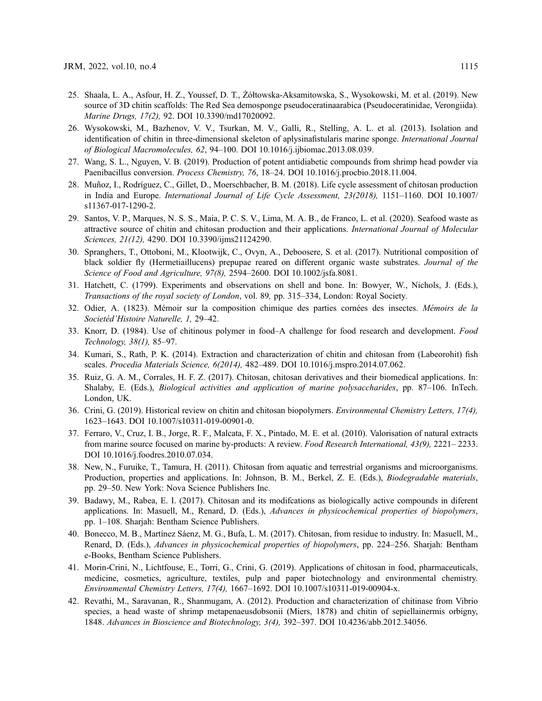- <span id="page-18-0"></span>25. Shaala, L. A., Asfour, H. Z., Youssef, D. T., Żółtowska-Aksamitowska, S., Wysokowski, M. et al. (2019). New source of 3D chitin scaffolds: The Red Sea demosponge pseudoceratinaarabica (Pseudoceratinidae, Verongiida). Marine Drugs, 17(2), 92. DOI [10.3390/md17020092.](http://dx.doi.org/10.3390/md17020092)
- <span id="page-18-1"></span>26. Wysokowski, M., Bazhenov, V. V., Tsurkan, M. V., Galli, R., Stelling, A. L. et al. (2013). Isolation and identification of chitin in three-dimensional skeleton of aplysinafistularis marine sponge. International Journal of Biological Macromolecules, 62, 94–100. DOI [10.1016/j.ijbiomac.2013.08.039](http://dx.doi.org/10.1016/j.ijbiomac.2013.08.039).
- <span id="page-18-2"></span>27. Wang, S. L., Nguyen, V. B. (2019). Production of potent antidiabetic compounds from shrimp head powder via Paenibacillus conversion. Process Chemistry, 76, 18–24. DOI [10.1016/j.procbio.2018.11.004.](http://dx.doi.org/10.1016/j.procbio.2018.11.004)
- <span id="page-18-3"></span>28. Muñoz, I., Rodríguez, C., Gillet, D., Moerschbacher, B. M. (2018). Life cycle assessment of chitosan production in India and Europe. International Journal of Life Cycle Assessment, 23(2018), 1151–1160. DOI [10.1007/](http://dx.doi.org/10.1007/s11367-017-1290-2) [s11367-017-1290-2.](http://dx.doi.org/10.1007/s11367-017-1290-2)
- <span id="page-18-4"></span>29. Santos, V. P., Marques, N. S. S., Maia, P. C. S. V., Lima, M. A. B., de Franco, L. et al. (2020). Seafood waste as attractive source of chitin and chitosan production and their applications. International Journal of Molecular Sciences, 21(12), 4290. DOI [10.3390/ijms21124290.](http://dx.doi.org/10.3390/ijms21124290)
- <span id="page-18-5"></span>30. Spranghers, T., Ottoboni, M., Klootwijk, C., Ovyn, A., Deboosere, S. et al. (2017). Nutritional composition of black soldier fly (Hermetiaillucens) prepupae reared on different organic waste substrates. Journal of the Science of Food and Agriculture, 97(8), 2594–2600. DOI [10.1002/jsfa.8081.](http://dx.doi.org/10.1002/jsfa.8081)
- <span id="page-18-6"></span>31. Hatchett, C. (1799). Experiments and observations on shell and bone. In: Bowyer, W., Nichols, J. (Eds.), Transactions of the royal society of London, vol. 89, pp. 315–334, London: Royal Society.
- <span id="page-18-7"></span>32. Odier, A. (1823). Mémoir sur la composition chimique des parties cornées des insectes. Mémoirs de la Societéd'Histoire Naturelle, 1, 29–42.
- <span id="page-18-8"></span>33. Knorr, D. (1984). Use of chitinous polymer in food–A challenge for food research and development. Food Technology, 38(1), 85–97.
- <span id="page-18-9"></span>34. Kumari, S., Rath, P. K. (2014). Extraction and characterization of chitin and chitosan from (Labeorohit) fish scales. Procedia Materials Science, 6(2014), 482–489. DOI [10.1016/j.mspro.2014.07.062.](http://dx.doi.org/10.1016/j.mspro.2014.07.062)
- <span id="page-18-10"></span>35. Ruiz, G. A. M., Corrales, H. F. Z. (2017). Chitosan, chitosan derivatives and their biomedical applications. In: Shalaby, E. (Eds.), *Biological activities and application of marine polysaccharides*, pp. 87–106. InTech. London, UK.
- <span id="page-18-11"></span>36. Crini, G. (2019). Historical review on chitin and chitosan biopolymers. Environmental Chemistry Letters, 17(4), 1623–1643. DOI [10.1007/s10311-019-00901-0.](http://dx.doi.org/10.1007/s10311-019-00901-0)
- <span id="page-18-12"></span>37. Ferraro, V., Cruz, I. B., Jorge, R. F., Malcata, F. X., Pintado, M. E. et al. (2010). Valorisation of natural extracts from marine source focused on marine by-products: A review. *Food Research International*, 43(9), 2221–2233. DOI [10.1016/j.foodres.2010.07.034](http://dx.doi.org/10.1016/j.foodres.2010.07.034).
- <span id="page-18-13"></span>38. New, N., Furuike, T., Tamura, H. (2011). Chitosan from aquatic and terrestrial organisms and microorganisms. Production, properties and applications. In: Johnson, B. M., Berkel, Z. E. (Eds.), Biodegradable materials, pp. 29–50. New York: Nova Science Publishers Inc.
- <span id="page-18-14"></span>39. Badawy, M., Rabea, E. I. (2017). Chitosan and its modifcations as biologically active compounds in diferent applications. In: Masuell, M., Renard, D. (Eds.), Advances in physicochemical properties of biopolymers, pp. 1–108. Sharjah: Bentham Science Publishers.
- <span id="page-18-15"></span>40. Bonecco, M. B., Martínez Sáenz, M. G., Bufa, L. M. (2017). Chitosan, from residue to industry. In: Masuell, M., Renard, D. (Eds.), Advances in physicochemical properties of biopolymers, pp. 224–256. Sharjah: Bentham e-Books, Bentham Science Publishers.
- <span id="page-18-16"></span>41. Morin-Crini, N., Lichtfouse, E., Torri, G., Crini, G. (2019). Applications of chitosan in food, pharmaceuticals, medicine, cosmetics, agriculture, textiles, pulp and paper biotechnology and environmental chemistry. Environmental Chemistry Letters, 17(4), 1667–1692. DOI [10.1007/s10311-019-00904-x.](http://dx.doi.org/10.1007/s10311-019-00904-x)
- <span id="page-18-17"></span>42. Revathi, M., Saravanan, R., Shanmugam, A. (2012). Production and characterization of chitinase from Vibrio species, a head waste of shrimp metapenaeusdobsonii (Miers, 1878) and chitin of sepiellainermis orbigny, 1848. Advances in Bioscience and Biotechnology, 3(4), 392–397. DOI [10.4236/abb.2012.34056.](http://dx.doi.org/10.4236/abb.2012.34056)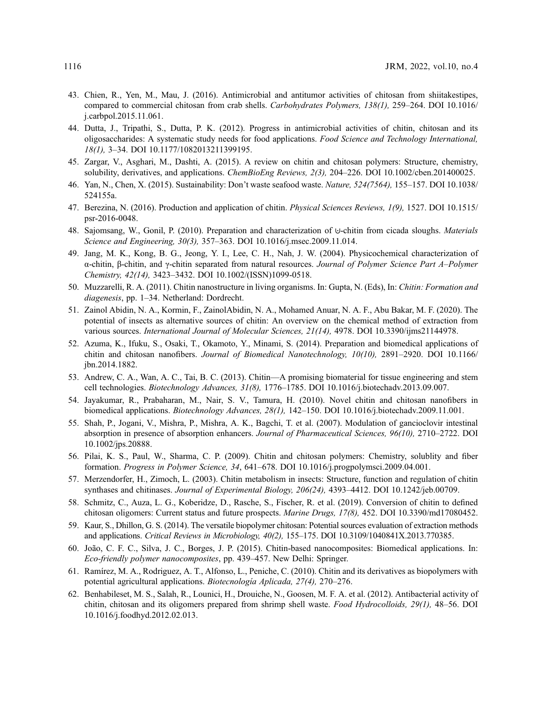- <span id="page-19-0"></span>43. Chien, R., Yen, M., Mau, J. (2016). Antimicrobial and antitumor activities of chitosan from shiitakestipes, compared to commercial chitosan from crab shells. Carbohydrates Polymers, 138(1), 259–264. DOI [10.1016/](http://dx.doi.org/10.1016/j.carbpol.2015.11.061) [j.carbpol.2015.11.061](http://dx.doi.org/10.1016/j.carbpol.2015.11.061).
- <span id="page-19-1"></span>44. Dutta, J., Tripathi, S., Dutta, P. K. (2012). Progress in antimicrobial activities of chitin, chitosan and its oligosaccharides: A systematic study needs for food applications. Food Science and Technology International, 18(1), 3–34. DOI [10.1177/1082013211399195.](http://dx.doi.org/10.1177/1082013211399195)
- <span id="page-19-2"></span>45. Zargar, V., Asghari, M., Dashti, A. (2015). A review on chitin and chitosan polymers: Structure, chemistry, solubility, derivatives, and applications. *ChemBioEng Reviews*,  $2(3)$ ,  $204-226$ . DOI [10.1002/cben.201400025.](http://dx.doi.org/10.1002/cben.201400025)
- <span id="page-19-3"></span>46. Yan, N., Chen, X. (2015). Sustainability: Don't waste seafood waste. Nature, 524(7564), 155–157. DOI [10.1038/](http://dx.doi.org/10.1038/524155a) [524155a.](http://dx.doi.org/10.1038/524155a)
- <span id="page-19-10"></span>47. Berezina, N. (2016). Production and application of chitin. Physical Sciences Reviews, 1(9), 1527. DOI [10.1515/](http://dx.doi.org/10.1515/psr-2016-0048) [psr-2016-0048.](http://dx.doi.org/10.1515/psr-2016-0048)
- <span id="page-19-4"></span>48. Sajomsang, W., Gonil, P. (2010). Preparation and characterization of ⊍-chitin from cicada sloughs. Materials Science and Engineering, 30(3), 357–363. DOI [10.1016/j.msec.2009.11.014.](http://dx.doi.org/10.1016/j.msec.2009.11.014)
- <span id="page-19-5"></span>49. Jang, M. K., Kong, B. G., Jeong, Y. I., Lee, C. H., Nah, J. W. (2004). Physicochemical characterization of α-chitin, β-chitin, and γ-chitin separated from natural resources. Journal of Polymer Science Part A–Polymer Chemistry, 42(14), 3423–3432. DOI [10.1002/\(ISSN\)1099-0518](http://dx.doi.org/10.1002/(ISSN)1099-0518).
- <span id="page-19-6"></span>50. Muzzarelli, R. A. (2011). Chitin nanostructure in living organisms. In: Gupta, N. (Eds), In: Chitin: Formation and diagenesis, pp. 1–34. Netherland: Dordrecht.
- <span id="page-19-7"></span>51. Zainol Abidin, N. A., Kormin, F., ZainolAbidin, N. A., Mohamed Anuar, N. A. F., Abu Bakar, M. F. (2020). The potential of insects as alternative sources of chitin: An overview on the chemical method of extraction from various sources. International Journal of Molecular Sciences, 21(14), 4978. DOI [10.3390/ijms21144978.](http://dx.doi.org/10.3390/ijms21144978)
- <span id="page-19-8"></span>52. Azuma, K., Ifuku, S., Osaki, T., Okamoto, Y., Minami, S. (2014). Preparation and biomedical applications of chitin and chitosan nanofibers. Journal of Biomedical Nanotechnology, 10(10), 2891–2920. DOI [10.1166/](http://dx.doi.org/10.1166/jbn.2014.1882) [jbn.2014.1882.](http://dx.doi.org/10.1166/jbn.2014.1882)
- 53. Andrew, C. A., Wan, A. C., Tai, B. C. (2013). Chitin—A promising biomaterial for tissue engineering and stem cell technologies. Biotechnology Advances, 31(8), 1776–1785. DOI [10.1016/j.biotechadv.2013.09.007](http://dx.doi.org/10.1016/j.biotechadv.2013.09.007).
- 54. Jayakumar, R., Prabaharan, M., Nair, S. V., Tamura, H. (2010). Novel chitin and chitosan nanofibers in biomedical applications. Biotechnology Advances, 28(1), 142–150. DOI [10.1016/j.biotechadv.2009.11.001](http://dx.doi.org/10.1016/j.biotechadv.2009.11.001).
- <span id="page-19-9"></span>55. Shah, P., Jogani, V., Mishra, P., Mishra, A. K., Bagchi, T. et al. (2007). Modulation of gancioclovir intestinal absorption in presence of absorption enhancers. Journal of Pharmaceutical Sciences, 96(10), 2710–2722. DOI [10.1002/jps.20888.](http://dx.doi.org/10.1002/jps.20888)
- <span id="page-19-11"></span>56. Pilai, K. S., Paul, W., Sharma, C. P. (2009). Chitin and chitosan polymers: Chemistry, solublity and fiber formation. Progress in Polymer Science, 34, 641–678. DOI [10.1016/j.progpolymsci.2009.04.001](http://dx.doi.org/10.1016/j.progpolymsci.2009.04.001).
- <span id="page-19-12"></span>57. Merzendorfer, H., Zimoch, L. (2003). Chitin metabolism in insects: Structure, function and regulation of chitin synthases and chitinases. Journal of Experimental Biology, 206(24), 4393-4412. DOI [10.1242/jeb.00709](http://dx.doi.org/10.1242/jeb.00709).
- <span id="page-19-13"></span>58. Schmitz, C., Auza, L. G., Koberidze, D., Rasche, S., Fischer, R. et al. (2019). Conversion of chitin to defined chitosan oligomers: Current status and future prospects. Marine Drugs, 17(8), 452. DOI [10.3390/md17080452.](http://dx.doi.org/10.3390/md17080452)
- <span id="page-19-14"></span>59. Kaur, S., Dhillon, G. S. (2014). The versatile biopolymer chitosan: Potential sources evaluation of extraction methods and applications. Critical Reviews in Microbiology, 40(2), 155–175. DOI [10.3109/1040841X.2013.770385.](http://dx.doi.org/10.3109/1040841X.2013.770385)
- <span id="page-19-15"></span>60. João, C. F. C., Silva, J. C., Borges, J. P. (2015). Chitin-based nanocomposites: Biomedical applications. In: Eco-friendly polymer nanocomposites, pp. 439–457. New Delhi: Springer.
- <span id="page-19-16"></span>61. Ramírez, M. A., Rodriguez, A. T., Alfonso, L., Peniche, C. (2010). Chitin and its derivatives as biopolymers with potential agricultural applications. Biotecnología Aplicada, 27(4), 270–276.
- <span id="page-19-17"></span>62. Benhabileset, M. S., Salah, R., Lounici, H., Drouiche, N., Goosen, M. F. A. et al. (2012). Antibacterial activity of chitin, chitosan and its oligomers prepared from shrimp shell waste. Food Hydrocolloids, 29(1), 48–56. DOI [10.1016/j.foodhyd.2012.02.013](http://dx.doi.org/10.1016/j.foodhyd.2012.02.013).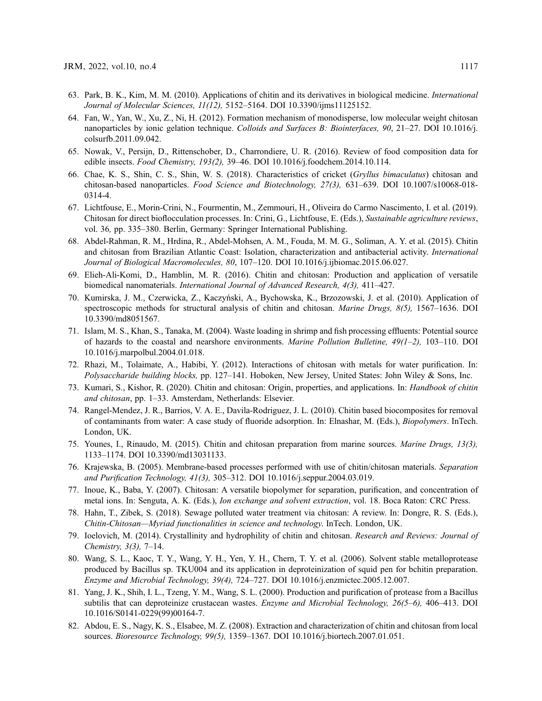- <span id="page-20-0"></span>63. Park, B. K., Kim, M. M. (2010). Applications of chitin and its derivatives in biological medicine. International Journal of Molecular Sciences, 11(12), 5152–5164. DOI [10.3390/ijms11125152](http://dx.doi.org/10.3390/ijms11125152).
- <span id="page-20-1"></span>64. Fan, W., Yan, W., Xu, Z., Ni, H. (2012). Formation mechanism of monodisperse, low molecular weight chitosan nanoparticles by ionic gelation technique. Colloids and Surfaces B: Biointerfaces, 90, 21–27. DOI [10.1016/j.](http://dx.doi.org/10.1016/j.colsurfb.2011.09.042) [colsurfb.2011.09.042.](http://dx.doi.org/10.1016/j.colsurfb.2011.09.042)
- <span id="page-20-2"></span>65. Nowak, V., Persijn, D., Rittenschober, D., Charrondiere, U. R. (2016). Review of food composition data for edible insects. Food Chemistry, 193(2), 39–46. DOI [10.1016/j.foodchem.2014.10.114](http://dx.doi.org/10.1016/j.foodchem.2014.10.114).
- <span id="page-20-3"></span>66. Chae, K. S., Shin, C. S., Shin, W. S. (2018). Characteristics of cricket (Gryllus bimaculatus) chitosan and chitosan-based nanoparticles. Food Science and Biotechnology, 27(3), 631–639. DOI [10.1007/s10068-018-](http://dx.doi.org/10.1007/s10068-018-0314-4) [0314-4.](http://dx.doi.org/10.1007/s10068-018-0314-4)
- <span id="page-20-4"></span>67. Lichtfouse, E., Morin-Crini, N., Fourmentin, M., Zemmouri, H., Oliveira do Carmo Nascimento, I. et al. (2019). Chitosan for direct bioflocculation processes. In: Crini, G., Lichtfouse, E. (Eds.), Sustainable agriculture reviews, vol. 36, pp. 335–380. Berlin, Germany: Springer International Publishing.
- <span id="page-20-5"></span>68. Abdel-Rahman, R. M., Hrdina, R., Abdel-Mohsen, A. M., Fouda, M. M. G., Soliman, A. Y. et al. (2015). Chitin and chitosan from Brazilian Atlantic Coast: Isolation, characterization and antibacterial activity. International Journal of Biological Macromolecules, 80, 107–120. DOI [10.1016/j.ijbiomac.2015.06.027.](http://dx.doi.org/10.1016/j.ijbiomac.2015.06.027)
- <span id="page-20-6"></span>69. Elieh-Ali-Komi, D., Hamblin, M. R. (2016). Chitin and chitosan: Production and application of versatile biomedical nanomaterials. International Journal of Advanced Research, 4(3), 411–427.
- <span id="page-20-7"></span>70. Kumirska, J. M., Czerwicka, Z., Kaczyński, A., Bychowska, K., Brzozowski, J. et al. (2010). Application of spectroscopic methods for structural analysis of chitin and chitosan. Marine Drugs, 8(5), 1567–1636. DOI [10.3390/md8051567](http://dx.doi.org/10.3390/md8051567).
- <span id="page-20-8"></span>71. Islam, M. S., Khan, S., Tanaka, M. (2004). Waste loading in shrimp and fish processing effluents: Potential source of hazards to the coastal and nearshore environments. Marine Pollution Bulletine, 49(1–2), 103–110. DOI [10.1016/j.marpolbul.2004.01.018.](http://dx.doi.org/10.1016/j.marpolbul.2004.01.018)
- <span id="page-20-9"></span>72. Rhazi, M., Tolaimate, A., Habibi, Y. (2012). Interactions of chitosan with metals for water purification. In: Polysaccharide building blocks, pp. 127–141. Hoboken, New Jersey, United States: John Wiley & Sons, Inc.
- <span id="page-20-10"></span>73. Kumari, S., Kishor, R. (2020). Chitin and chitosan: Origin, properties, and applications. In: Handbook of chitin and chitosan, pp. 1–33. Amsterdam, Netherlands: Elsevier.
- <span id="page-20-11"></span>74. Rangel-Mendez, J. R., Barrios, V. A. E., Davila-Rodriguez, J. L. (2010). Chitin based biocomposites for removal of contaminants from water: A case study of fluoride adsorption. In: Elnashar, M. (Eds.), Biopolymers. InTech. London, UK.
- <span id="page-20-12"></span>75. Younes, I., Rinaudo, M. (2015). Chitin and chitosan preparation from marine sources. Marine Drugs, 13(3), 1133–1174. DOI [10.3390/md13031133](http://dx.doi.org/10.3390/md13031133).
- <span id="page-20-13"></span>76. Krajewska, B. (2005). Membrane-based processes performed with use of chitin/chitosan materials. Separation and Purification Technology, 41(3), 305–312. DOI [10.1016/j.seppur.2004.03.019.](http://dx.doi.org/10.1016/j.seppur.2004.03.019)
- <span id="page-20-14"></span>77. Inoue, K., Baba, Y. (2007). Chitosan: A versatile biopolymer for separation, purification, and concentration of metal ions. In: Senguta, A. K. (Eds.), Ion exchange and solvent extraction, vol. 18. Boca Raton: CRC Press.
- <span id="page-20-15"></span>78. Hahn, T., Zibek, S. (2018). Sewage polluted water treatment via chitosan: A review. In: Dongre, R. S. (Eds.), Chitin-Chitosan—Myriad functionalities in science and technology. InTech. London, UK.
- <span id="page-20-16"></span>79. Ioelovich, M. (2014). Crystallinity and hydrophility of chitin and chitosan. Research and Reviews: Journal of Chemistry, 3(3), 7–14.
- <span id="page-20-17"></span>80. Wang, S. L., Kaoc, T. Y., Wang, Y. H., Yen, Y. H., Chern, T. Y. et al. (2006). Solvent stable metalloprotease produced by Bacillus sp. TKU004 and its application in deproteinization of squid pen for bchitin preparation. Enzyme and Microbial Technology, 39(4), 724–727. DOI [10.1016/j.enzmictec.2005.12.007](http://dx.doi.org/10.1016/j.enzmictec.2005.12.007).
- <span id="page-20-18"></span>81. Yang, J. K., Shih, I. L., Tzeng, Y. M., Wang, S. L. (2000). Production and purification of protease from a Bacillus subtilis that can deproteinize crustacean wastes. Enzyme and Microbial Technology, 26(5–6), 406–413. DOI [10.1016/S0141-0229\(99\)00164-7.](http://dx.doi.org/10.1016/S0141-0229(99)00164-7)
- <span id="page-20-19"></span>82. Abdou, E. S., Nagy, K. S., Elsabee, M. Z. (2008). Extraction and characterization of chitin and chitosan from local sources. Bioresource Technology, 99(5), 1359–1367. DOI [10.1016/j.biortech.2007.01.051.](http://dx.doi.org/10.1016/j.biortech.2007.01.051)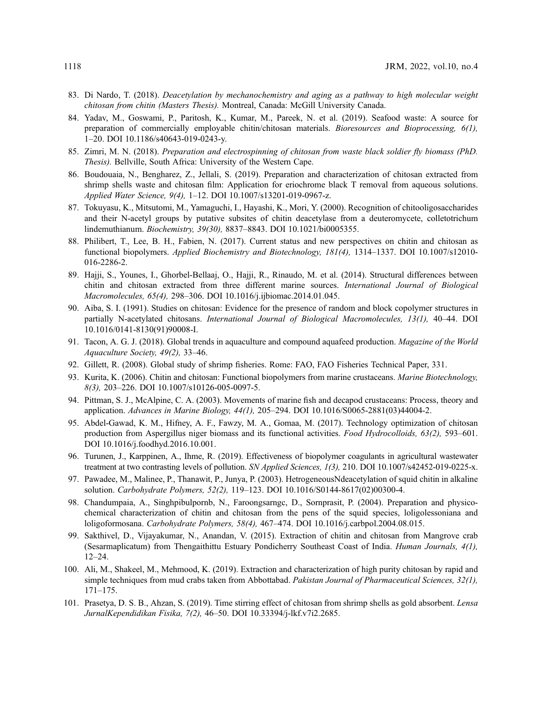- <span id="page-21-0"></span>83. Di Nardo, T. (2018). Deacetylation by mechanochemistry and aging as a pathway to high molecular weight chitosan from chitin (Masters Thesis). Montreal, Canada: McGill University Canada.
- <span id="page-21-1"></span>84. Yadav, M., Goswami, P., Paritosh, K., Kumar, M., Pareek, N. et al. (2019). Seafood waste: A source for preparation of commercially employable chitin/chitosan materials. Bioresources and Bioprocessing, 6(1), 1–20. DOI [10.1186/s40643-019-0243-y.](http://dx.doi.org/10.1186/s40643-019-0243-y)
- <span id="page-21-2"></span>85. Zimri, M. N. (2018). Preparation and electrospinning of chitosan from waste black soldier fly biomass (PhD. Thesis). Bellville, South Africa: University of the Western Cape.
- <span id="page-21-3"></span>86. Boudouaia, N., Bengharez, Z., Jellali, S. (2019). Preparation and characterization of chitosan extracted from shrimp shells waste and chitosan film: Application for eriochrome black T removal from aqueous solutions. Applied Water Science, 9(4), 1–12. DOI [10.1007/s13201-019-0967-z.](http://dx.doi.org/10.1007/s13201-019-0967-z)
- <span id="page-21-4"></span>87. Tokuyasu, K., Mitsutomi, M., Yamaguchi, I., Hayashi, K., Mori, Y. (2000). Recognition of chitooligosaccharides and their N-acetyl groups by putative subsites of chitin deacetylase from a deuteromycete, colletotrichum lindemuthianum. Biochemistry, 39(30), 8837–8843. DOI [10.1021/bi0005355](http://dx.doi.org/10.1021/bi0005355).
- <span id="page-21-5"></span>88. Philibert, T., Lee, B. H., Fabien, N. (2017). Current status and new perspectives on chitin and chitosan as functional biopolymers. Applied Biochemistry and Biotechnology, 181(4), 1314–1337. DOI [10.1007/s12010-](http://dx.doi.org/10.1007/s12010-016-2286-2) [016-2286-2.](http://dx.doi.org/10.1007/s12010-016-2286-2)
- <span id="page-21-6"></span>89. Hajji, S., Younes, I., Ghorbel-Bellaaj, O., Hajji, R., Rinaudo, M. et al. (2014). Structural differences between chitin and chitosan extracted from three different marine sources. International Journal of Biological Macromolecules, 65(4), 298–306. DOI [10.1016/j.ijbiomac.2014.01.045.](http://dx.doi.org/10.1016/j.ijbiomac.2014.01.045)
- <span id="page-21-7"></span>90. Aiba, S. I. (1991). Studies on chitosan: Evidence for the presence of random and block copolymer structures in partially N-acetylated chitosans. International Journal of Biological Macromolecules, 13(1), 40–44. DOI [10.1016/0141-8130\(91\)90008-I.](http://dx.doi.org/10.1016/0141-8130(91)90008-I)
- <span id="page-21-8"></span>91. Tacon, A. G. J. (2018). Global trends in aquaculture and compound aquafeed production. Magazine of the World Aquaculture Society, 49(2), 33–46.
- <span id="page-21-9"></span>92. Gillett, R. (2008). Global study of shrimp fisheries. Rome: FAO, FAO Fisheries Technical Paper, 331.
- <span id="page-21-10"></span>93. Kurita, K. (2006). Chitin and chitosan: Functional biopolymers from marine crustaceans. Marine Biotechnology, 8(3), 203–226. DOI [10.1007/s10126-005-0097-5.](http://dx.doi.org/10.1007/s10126-005-0097-5)
- <span id="page-21-11"></span>94. Pittman, S. J., McAlpine, C. A. (2003). Movements of marine fish and decapod crustaceans: Process, theory and application. Advances in Marine Biology, 44(1), 205–294. DOI [10.1016/S0065-2881\(03\)44004-2.](http://dx.doi.org/10.1016/S0065-2881(03)44004-2)
- <span id="page-21-12"></span>95. Abdel-Gawad, K. M., Hifney, A. F., Fawzy, M. A., Gomaa, M. (2017). Technology optimization of chitosan production from Aspergillus niger biomass and its functional activities. Food Hydrocolloids, 63(2), 593–601. DOI [10.1016/j.foodhyd.2016.10.001.](http://dx.doi.org/10.1016/j.foodhyd.2016.10.001)
- <span id="page-21-13"></span>96. Turunen, J., Karppinen, A., Ihme, R. (2019). Effectiveness of biopolymer coagulants in agricultural wastewater treatment at two contrasting levels of pollution. SN Applied Sciences, 1(3), 210. DOI [10.1007/s42452-019-0225-x.](http://dx.doi.org/10.1007/s42452-019-0225-x)
- <span id="page-21-14"></span>97. Pawadee, M., Malinee, P., Thanawit, P., Junya, P. (2003). HetrogeneousNdeacetylation of squid chitin in alkaline solution. Carbohydrate Polymers, 52(2), 119–123. DOI [10.1016/S0144-8617\(02\)00300-4](http://dx.doi.org/10.1016/S0144-8617(02)00300-4).
- <span id="page-21-15"></span>98. Chandumpaia, A., Singhpibulpornb, N., Faroongsarngc, D., Sornprasit, P. (2004). Preparation and physicochemical characterization of chitin and chitosan from the pens of the squid species, loligolessoniana and loligoformosana. Carbohydrate Polymers, 58(4), 467–474. DOI [10.1016/j.carbpol.2004.08.015.](http://dx.doi.org/10.1016/j.carbpol.2004.08.015)
- <span id="page-21-16"></span>99. Sakthivel, D., Vijayakumar, N., Anandan, V. (2015). Extraction of chitin and chitosan from Mangrove crab (Sesarmaplicatum) from Thengaithittu Estuary Pondicherry Southeast Coast of India. Human Journals, 4(1), 12–24.
- <span id="page-21-17"></span>100. Ali, M., Shakeel, M., Mehmood, K. (2019). Extraction and characterization of high purity chitosan by rapid and simple techniques from mud crabs taken from Abbottabad. Pakistan Journal of Pharmaceutical Sciences, 32(1), 171–175.
- <span id="page-21-18"></span>101. Prasetya, D. S. B., Ahzan, S. (2019). Time stirring effect of chitosan from shrimp shells as gold absorbent. Lensa JurnalKependidikan Fisika, 7(2), 46–50. DOI [10.33394/j-lkf.v7i2.2685](http://dx.doi.org/10.33394/j-lkf.v7i2.2685).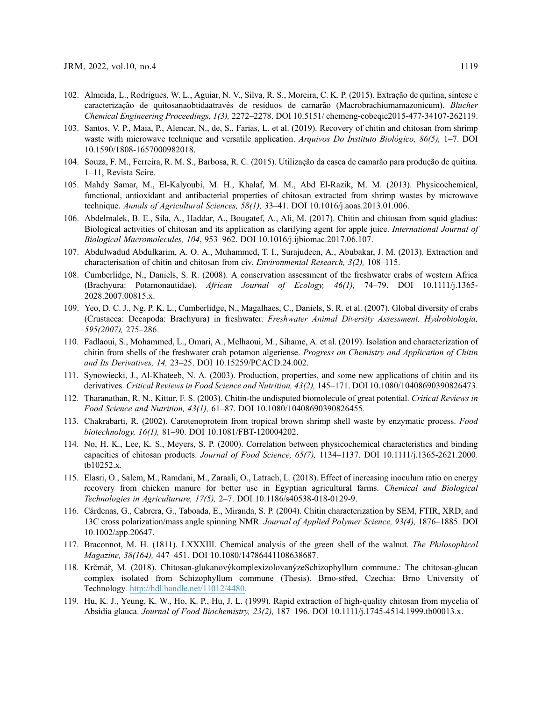- <span id="page-22-0"></span>102. Almeida, L., Rodrigues, W. L., Aguiar, N. V., Silva, R. S., Moreira, C. K. P. (2015). Extração de quitina, síntese e caracterização de quitosanaobtidaatravés de resíduos de camarão (Macrobrachiumamazonicum). Blucher Chemical Engineering Proceedings, 1(3), 2272–2278. DOI [10.5151/ chemeng-cobeqic2015-477-34107-262119.](http://dx.doi.org/10.5151/ chemeng-cobeqic2015-477-34107-262119)
- 103. Santos, V. P., Maia, P., Alencar, N., de, S., Farias, L. et al. (2019). Recovery of chitin and chitosan from shrimp waste with microwave technique and versatile application. Arquivos Do Instituto Biológico, 86(5), 1–7. DOI [10.1590/1808-1657000982018.](http://dx.doi.org/10.1590/1808-1657000982018)
- <span id="page-22-1"></span>104. Souza, F. M., Ferreira, R. M. S., Barbosa, R. C. (2015). Utilização da casca de camarão para produção de quitina. 1–11, Revista Scire.
- <span id="page-22-6"></span>105. Mahdy Samar, M., El-Kalyoubi, M. H., Khalaf, M. M., Abd El-Razik, M. M. (2013). Physicochemical, functional, antioxidant and antibacterial properties of chitosan extracted from shrimp wastes by microwave technique. Annals of Agricultural Sciences, 58(1), 33–41. DOI [10.1016/j.aoas.2013.01.006](http://dx.doi.org/10.1016/j.aoas.2013.01.006).
- <span id="page-22-7"></span>106. Abdelmalek, B. E., Sila, A., Haddar, A., Bougatef, A., Ali, M. (2017). Chitin and chitosan from squid gladius: Biological activities of chitosan and its application as clarifying agent for apple juice. International Journal of Biological Macromolecules, 104, 953–962. DOI [10.1016/j.ijbiomac.2017.06.107](http://dx.doi.org/10.1016/j.ijbiomac.2017.06.107).
- <span id="page-22-8"></span>107. Abdulwadud Abdulkarim, A. O. A., Muhammed, T. I., Surajudeen, A., Abubakar, J. M. (2013). Extraction and characterisation of chitin and chitosan from civ. Environmental Research, 3(2), 108–115.
- <span id="page-22-2"></span>108. Cumberlidge, N., Daniels, S. R. (2008). A conservation assessment of the freshwater crabs of western Africa (Brachyura: Potamonautidae). African Journal of Ecology, 46(1), 74–79. DOI [10.1111/j.1365-](http://dx.doi.org/10.1111/j.1365-2028.2007.00815.x) [2028.2007.00815.x.](http://dx.doi.org/10.1111/j.1365-2028.2007.00815.x)
- <span id="page-22-3"></span>109. Yeo, D. C. J., Ng, P. K. L., Cumberlidge, N., Magalhaes, C., Daniels, S. R. et al. (2007). Global diversity of crabs (Crustacea: Decapoda: Brachyura) in freshwater. Freshwater Animal Diversity Assessment. Hydrobiologia, 595(2007), 275–286.
- <span id="page-22-4"></span>110. Fadlaoui, S., Mohammed, L., Omari, A., Melhaoui, M., Sihame, A. et al. (2019). Isolation and characterization of chitin from shells of the freshwater crab potamon algeriense. *Progress on Chemistry and Application of Chitin* and Its Derivatives, 14, 23–25. DOI [10.15259/PCACD.24.002.](http://dx.doi.org/10.15259/PCACD.24.002)
- <span id="page-22-5"></span>111. Synowiecki, J., Al-Khateeb, N. A. (2003). Production, properties, and some new applications of chitin and its derivatives. Critical Reviews in Food Science and Nutrition, 43(2), 145-171. DOI [10.1080/10408690390826473.](http://dx.doi.org/10.1080/10408690390826473)
- <span id="page-22-9"></span>112. Tharanathan, R. N., Kittur, F. S. (2003). Chitin-the undisputed biomolecule of great potential. Critical Reviews in Food Science and Nutrition, 43(1), 61–87. DOI [10.1080/10408690390826455.](http://dx.doi.org/10.1080/10408690390826455)
- <span id="page-22-10"></span>113. Chakrabarti, R. (2002). Carotenoprotein from tropical brown shrimp shell waste by enzymatic process. Food biotechnology, 16(1), 81–90. DOI [10.1081/FBT-120004202.](http://dx.doi.org/10.1081/FBT-120004202)
- <span id="page-22-11"></span>114. No, H. K., Lee, K. S., Meyers, S. P. (2000). Correlation between physicochemical characteristics and binding capacities of chitosan products. Journal of Food Science, 65(7), 1134–1137. DOI [10.1111/j.1365-2621.2000.](http://dx.doi.org/10.1111/j.1365-2621.2000.tb10252.x) [tb10252.x](http://dx.doi.org/10.1111/j.1365-2621.2000.tb10252.x).
- 115. Elasri, O., Salem, M., Ramdani, M., Zaraali, O., Latrach, L. (2018). Effect of increasing inoculum ratio on energy recovery from chicken manure for better use in Egyptian agricultural farms. Chemical and Biological Technologies in Agriculturure, 17(5), 2–7. DOI [10.1186/s40538-018-0129-9](http://dx.doi.org/10.1186/s40538-018-0129-9).
- <span id="page-22-12"></span>116. Cárdenas, G., Cabrera, G., Taboada, E., Miranda, S. P. (2004). Chitin characterization by SEM, FTIR, XRD, and 13C cross polarization/mass angle spinning NMR. Journal of Applied Polymer Science, 93(4), 1876–1885. DOI [10.1002/app.20647](http://dx.doi.org/10.1002/app.20647).
- <span id="page-22-13"></span>117. Braconnot, M. H. (1811). LXXXIII. Chemical analysis of the green shell of the walnut. The Philosophical Magazine, 38(164), 447–451. DOI [10.1080/14786441108638687](http://dx.doi.org/10.1080/14786441108638687).
- <span id="page-22-14"></span>118. Krčmář, M. (2018). Chitosan-glukanovýkomplexizolovanýzeSchizophyllum commune.: The chitosan-glucan complex isolated from Schizophyllum commune (Thesis). Brno-střed, Czechia: Brno University of Technology. <http://hdl.handle.net/11012/4480>.
- <span id="page-22-15"></span>119. Hu, K. J., Yeung, K. W., Ho, K. P., Hu, J. L. (1999). Rapid extraction of high-quality chitosan from mycelia of Absidia glauca. Journal of Food Biochemistry, 23(2), 187–196. DOI [10.1111/j.1745-4514.1999.tb00013.x](http://dx.doi.org/10.1111/j.1745-4514.1999.tb00013.x).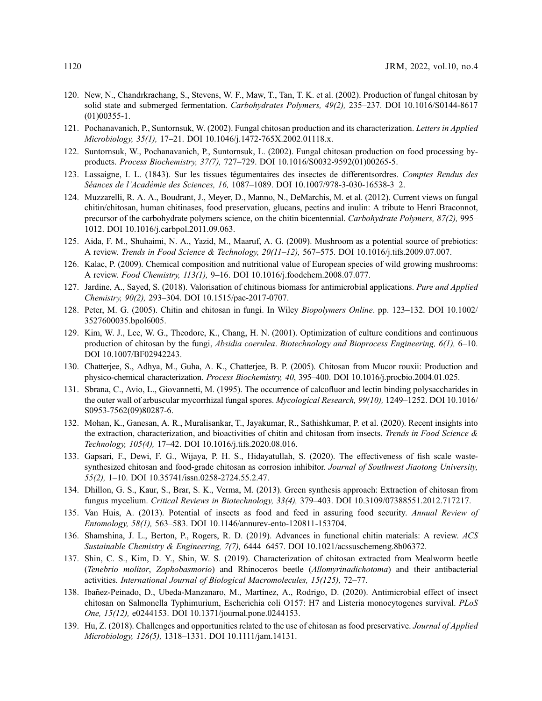- <span id="page-23-0"></span>120. New, N., Chandrkrachang, S., Stevens, W. F., Maw, T., Tan, T. K. et al. (2002). Production of fungal chitosan by solid state and submerged fermentation. Carbohydrates Polymers, 49(2), 235–237. DOI [10.1016/S0144-8617](http://dx.doi.org/10.1016/S0144-8617(01)00355-1) [\(01\)00355-1](http://dx.doi.org/10.1016/S0144-8617(01)00355-1).
- <span id="page-23-8"></span>121. Pochanavanich, P., Suntornsuk, W. (2002). Fungal chitosan production and its characterization. Letters in Applied Microbiology, 35(1), 17–21. DOI [10.1046/j.1472-765X.2002.01118.x](http://dx.doi.org/10.1046/j.1472-765X.2002.01118.x).
- <span id="page-23-1"></span>122. Suntornsuk, W., Pochanavanich, P., Suntornsuk, L. (2002). Fungal chitosan production on food processing byproducts. Process Biochemistry, 37(7), 727–729. DOI [10.1016/S0032-9592\(01\)00265-5](http://dx.doi.org/10.1016/S0032-9592(01)00265-5).
- <span id="page-23-2"></span>123. Lassaigne, I. L. (1843). Sur les tissues tégumentaires des insectes de differentsordres. Comptes Rendus des Séances de l'Académie des Sciences, 16, 1087–1089. DOI [10.1007/978-3-030-16538-3\\_2.](http://dx.doi.org/10.1007/978-3-030-16538-3_2)
- <span id="page-23-3"></span>124. Muzzarelli, R. A. A., Boudrant, J., Meyer, D., Manno, N., DeMarchis, M. et al. (2012). Current views on fungal chitin/chitosan, human chitinases, food preservation, glucans, pectins and inulin: A tribute to Henri Braconnot, precursor of the carbohydrate polymers science, on the chitin bicentennial. Carbohydrate Polymers, 87(2), 995– 1012. DOI [10.1016/j.carbpol.2011.09.063.](http://dx.doi.org/10.1016/j.carbpol.2011.09.063)
- <span id="page-23-4"></span>125. Aida, F. M., Shuhaimi, N. A., Yazid, M., Maaruf, A. G. (2009). Mushroom as a potential source of prebiotics: A review. Trends in Food Science & Technology, 20(11–12), 567–575. DOI [10.1016/j.tifs.2009.07.007](http://dx.doi.org/10.1016/j.tifs.2009.07.007).
- <span id="page-23-5"></span>126. Kalac, P. (2009). Chemical composition and nutritional value of European species of wild growing mushrooms: A review. Food Chemistry, 113(1), 9–16. DOI [10.1016/j.foodchem.2008.07.077](http://dx.doi.org/10.1016/j.foodchem.2008.07.077).
- <span id="page-23-6"></span>127. Jardine, A., Sayed, S. (2018). Valorisation of chitinous biomass for antimicrobial applications. Pure and Applied Chemistry, 90(2), 293–304. DOI [10.1515/pac-2017-0707](http://dx.doi.org/10.1515/pac-2017-0707).
- <span id="page-23-7"></span>128. Peter, M. G. (2005). Chitin and chitosan in fungi. In Wiley Biopolymers Online. pp. 123–132. DOI [10.1002/](http://dx.doi.org/10.1002/3527600035.bpol6005) [3527600035.bpol6005](http://dx.doi.org/10.1002/3527600035.bpol6005).
- <span id="page-23-9"></span>129. Kim, W. J., Lee, W. G., Theodore, K., Chang, H. N. (2001). Optimization of culture conditions and continuous production of chitosan by the fungi, Absidia coerulea. Biotechnology and Bioprocess Engineering, 6(1), 6–10. DOI [10.1007/BF02942243](http://dx.doi.org/10.1007/BF02942243).
- <span id="page-23-10"></span>130. Chatterjee, S., Adhya, M., Guha, A. K., Chatterjee, B. P. (2005). Chitosan from Mucor rouxii: Production and physico-chemical characterization. Process Biochemistry, 40, 395–400. DOI [10.1016/j.procbio.2004.01.025](http://dx.doi.org/10.1016/j.procbio.2004.01.025).
- <span id="page-23-11"></span>131. Sbrana, C., Avio, L., Giovannetti, M. (1995). The occurrence of calcofluor and lectin binding polysaccharides in the outer wall of arbuscular mycorrhizal fungal spores. Mycological Research, 99(10), 1249–1252. DOI [10.1016/](http://dx.doi.org/10.1016/S0953-7562(09)80287-6) [S0953-7562\(09\)80287-6.](http://dx.doi.org/10.1016/S0953-7562(09)80287-6)
- <span id="page-23-12"></span>132. Mohan, K., Ganesan, A. R., Muralisankar, T., Jayakumar, R., Sathishkumar, P. et al. (2020). Recent insights into the extraction, characterization, and bioactivities of chitin and chitosan from insects. Trends in Food Science  $\&$ Technology, 105(4), 17–42. DOI [10.1016/j.tifs.2020.08.016.](http://dx.doi.org/10.1016/j.tifs.2020.08.016)
- <span id="page-23-13"></span>133. Gapsari, F., Dewi, F. G., Wijaya, P. H. S., Hidayatullah, S. (2020). The effectiveness of fish scale wastesynthesized chitosan and food-grade chitosan as corrosion inhibitor. Journal of Southwest Jiaotong University, 55(2), 1–10. DOI [10.35741/issn.0258-2724.55.2.47.](http://dx.doi.org/10.35741/issn.0258-2724.55.2.47)
- <span id="page-23-14"></span>134. Dhillon, G. S., Kaur, S., Brar, S. K., Verma, M. (2013). Green synthesis approach: Extraction of chitosan from fungus mycelium. Critical Reviews in Biotechnology, 33(4), 379–403. DOI [10.3109/07388551.2012.717217](http://dx.doi.org/10.3109/07388551.2012.717217).
- <span id="page-23-15"></span>135. Van Huis, A. (2013). Potential of insects as food and feed in assuring food security. Annual Review of Entomology, 58(1), 563–583. DOI [10.1146/annurev-ento-120811-153704](http://dx.doi.org/10.1146/annurev-ento-120811-153704).
- <span id="page-23-16"></span>136. Shamshina, J. L., Berton, P., Rogers, R. D. (2019). Advances in functional chitin materials: A review. ACS Sustainable Chemistry & Engineering, 7(7), 6444–6457. DOI [10.1021/acssuschemeng.8b06372.](http://dx.doi.org/10.1021/acssuschemeng.8b06372)
- <span id="page-23-17"></span>137. Shin, C. S., Kim, D. Y., Shin, W. S. (2019). Characterization of chitosan extracted from Mealworm beetle (Tenebrio molitor, Zophobasmorio) and Rhinoceros beetle (Allomyrinadichotoma) and their antibacterial activities. International Journal of Biological Macromolecules, 15(125), 72–77.
- <span id="page-23-18"></span>138. Ibañez-Peinado, D., Ubeda-Manzanaro, M., Martínez, A., Rodrigo, D. (2020). Antimicrobial effect of insect chitosan on Salmonella Typhimurium, Escherichia coli O157: H7 and Listeria monocytogenes survival. PLoS One, 15(12), e0244153. DOI [10.1371/journal.pone.0244153](http://dx.doi.org/10.1371/journal.pone.0244153).
- <span id="page-23-19"></span>139. Hu, Z. (2018). Challenges and opportunities related to the use of chitosan as food preservative. Journal of Applied Microbiology, 126(5), 1318–1331. DOI [10.1111/jam.14131](http://dx.doi.org/10.1111/jam.14131).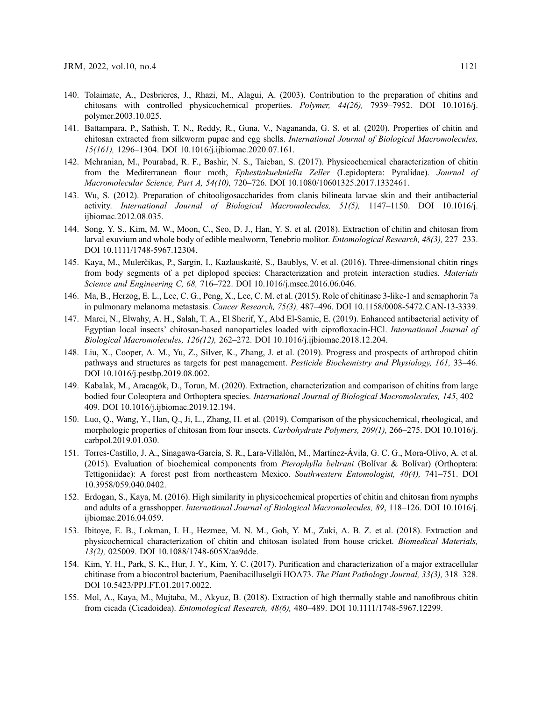- <span id="page-24-0"></span>140. Tolaimate, A., Desbrieres, J., Rhazi, M., Alagui, A. (2003). Contribution to the preparation of chitins and chitosans with controlled physicochemical properties. Polymer, 44(26), 7939–7952. DOI [10.1016/j.](http://dx.doi.org/10.1016/j.polymer.2003.10.025) [polymer.2003.10.025](http://dx.doi.org/10.1016/j.polymer.2003.10.025).
- <span id="page-24-1"></span>141. Battampara, P., Sathish, T. N., Reddy, R., Guna, V., Nagananda, G. S. et al. (2020). Properties of chitin and chitosan extracted from silkworm pupae and egg shells. International Journal of Biological Macromolecules, 15(161), 1296–1304. DOI [10.1016/j.ijbiomac.2020.07.161.](http://dx.doi.org/10.1016/j.ijbiomac.2020.07.161)
- <span id="page-24-2"></span>142. Mehranian, M., Pourabad, R. F., Bashir, N. S., Taieban, S. (2017). Physicochemical characterization of chitin from the Mediterranean flour moth, Ephestiakuehniella Zeller (Lepidoptera: Pyralidae). Journal of Macromolecular Science, Part A, 54(10), 720–726. DOI [10.1080/10601325.2017.1332461](http://dx.doi.org/10.1080/10601325.2017.1332461).
- <span id="page-24-3"></span>143. Wu, S. (2012). Preparation of chitooligosaccharides from clanis bilineata larvae skin and their antibacterial activity. International Journal of Biological Macromolecules, 51(5), 1147–1150. DOI [10.1016/j.](http://dx.doi.org/10.1016/j.ijbiomac.2012.08.035) [ijbiomac.2012.08.035](http://dx.doi.org/10.1016/j.ijbiomac.2012.08.035).
- <span id="page-24-4"></span>144. Song, Y. S., Kim, M. W., Moon, C., Seo, D. J., Han, Y. S. et al. (2018). Extraction of chitin and chitosan from larval exuvium and whole body of edible mealworm, Tenebrio molitor. Entomological Research, 48(3), 227–233. DOI [10.1111/1748-5967.12304.](http://dx.doi.org/10.1111/1748-5967.12304)
- <span id="page-24-5"></span>145. Kaya, M., Mulerčikas, P., Sargin, I., Kazlauskaitė, S., Baublys, V. et al. (2016). Three-dimensional chitin rings from body segments of a pet diplopod species: Characterization and protein interaction studies. Materials Science and Engineering C, 68, 716–722. DOI [10.1016/j.msec.2016.06.046](http://dx.doi.org/10.1016/j.msec.2016.06.046).
- <span id="page-24-6"></span>146. Ma, B., Herzog, E. L., Lee, C. G., Peng, X., Lee, C. M. et al. (2015). Role of chitinase 3-like-1 and semaphorin 7a in pulmonary melanoma metastasis. Cancer Research, 75(3), 487–496. DOI [10.1158/0008-5472.CAN-13-3339.](http://dx.doi.org/10.1158/0008-5472.CAN-13-3339)
- <span id="page-24-7"></span>147. Marei, N., Elwahy, A. H., Salah, T. A., El Sherif, Y., Abd El-Samie, E. (2019). Enhanced antibacterial activity of Egyptian local insects' chitosan-based nanoparticles loaded with ciprofloxacin-HCl. International Journal of Biological Macromolecules, 126(12), 262–272. DOI [10.1016/j.ijbiomac.2018.12.204.](http://dx.doi.org/10.1016/j.ijbiomac.2018.12.204)
- <span id="page-24-8"></span>148. Liu, X., Cooper, A. M., Yu, Z., Silver, K., Zhang, J. et al. (2019). Progress and prospects of arthropod chitin pathways and structures as targets for pest management. Pesticide Biochemistry and Physiology, 161, 33–46. DOI [10.1016/j.pestbp.2019.08.002.](http://dx.doi.org/10.1016/j.pestbp.2019.08.002)
- <span id="page-24-9"></span>149. Kabalak, M., Aracagök, D., Torun, M. (2020). Extraction, characterization and comparison of chitins from large bodied four Coleoptera and Orthoptera species. International Journal of Biological Macromolecules, 145, 402– 409. DOI [10.1016/j.ijbiomac.2019.12.194.](http://dx.doi.org/10.1016/j.ijbiomac.2019.12.194)
- <span id="page-24-10"></span>150. Luo, Q., Wang, Y., Han, Q., Ji, L., Zhang, H. et al. (2019). Comparison of the physicochemical, rheological, and morphologic properties of chitosan from four insects. Carbohydrate Polymers, 209(1), 266–275. DOI [10.1016/j.](http://dx.doi.org/10.1016/j.carbpol.2019.01.030) [carbpol.2019.01.030.](http://dx.doi.org/10.1016/j.carbpol.2019.01.030)
- <span id="page-24-11"></span>151. Torres-Castillo, J. A., Sinagawa-García, S. R., Lara-Villalón, M., Martínez-Ávila, G. C. G., Mora-Olivo, A. et al. (2015). Evaluation of biochemical components from Pterophylla beltrani (Bolívar & Bolívar) (Orthoptera: Tettigoniidae): A forest pest from northeastern Mexico. Southwestern Entomologist, 40(4), 741–751. DOI [10.3958/059.040.0402](http://dx.doi.org/10.3958/059.040.0402).
- <span id="page-24-12"></span>152. Erdogan, S., Kaya, M. (2016). High similarity in physicochemical properties of chitin and chitosan from nymphs and adults of a grasshopper. International Journal of Biological Macromolecules, 89, 118–126. DOI [10.1016/j.](http://dx.doi.org/10.1016/j.ijbiomac.2016.04.059) [ijbiomac.2016.04.059](http://dx.doi.org/10.1016/j.ijbiomac.2016.04.059).
- <span id="page-24-13"></span>153. Ibitoye, E. B., Lokman, I. H., Hezmee, M. N. M., Goh, Y. M., Zuki, A. B. Z. et al. (2018). Extraction and physicochemical characterization of chitin and chitosan isolated from house cricket. Biomedical Materials, 13(2), 025009. DOI [10.1088/1748-605X/aa9dde.](http://dx.doi.org/10.1088/1748-605X/aa9dde)
- <span id="page-24-14"></span>154. Kim, Y. H., Park, S. K., Hur, J. Y., Kim, Y. C. (2017). Purification and characterization of a major extracellular chitinase from a biocontrol bacterium, Paenibacilluselgii HOA73. The Plant Pathology Journal, 33(3), 318–328. DOI [10.5423/PPJ.FT.01.2017.0022.](http://dx.doi.org/10.5423/PPJ.FT.01.2017.0022)
- <span id="page-24-15"></span>155. Mol, A., Kaya, M., Mujtaba, M., Akyuz, B. (2018). Extraction of high thermally stable and nanofibrous chitin from cicada (Cicadoidea). Entomological Research, 48(6), 480–489. DOI [10.1111/1748-5967.12299](http://dx.doi.org/10.1111/1748-5967.12299).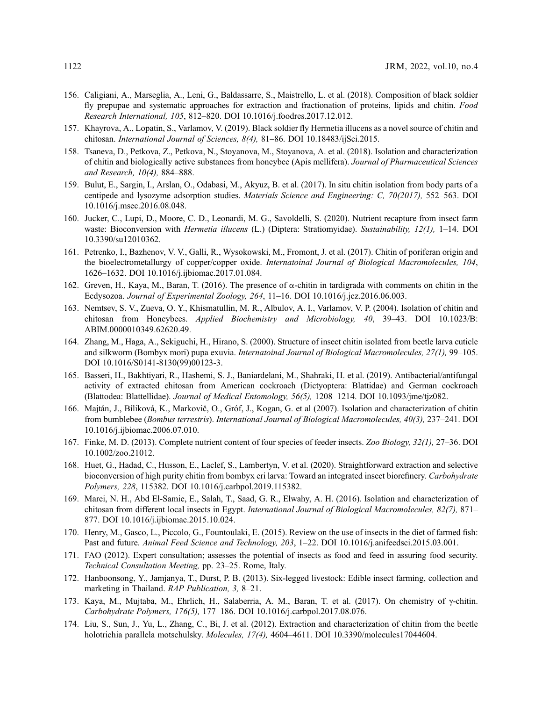- <span id="page-25-9"></span>156. Caligiani, A., Marseglia, A., Leni, G., Baldassarre, S., Maistrello, L. et al. (2018). Composition of black soldier fly prepupae and systematic approaches for extraction and fractionation of proteins, lipids and chitin. Food Research International, 105, 812–820. DOI [10.1016/j.foodres.2017.12.012](http://dx.doi.org/10.1016/j.foodres.2017.12.012).
- <span id="page-25-11"></span>157. Khayrova, A., Lopatin, S., Varlamov, V. (2019). Black soldier fly Hermetia illucens as a novel source of chitin and chitosan. International Journal of Sciences, 8(4), 81–86. DOI [10.18483/ijSci.2015.](http://dx.doi.org/10.18483/ijSci.2015)
- <span id="page-25-4"></span>158. Tsaneva, D., Petkova, Z., Petkova, N., Stoyanova, M., Stoyanova, A. et al. (2018). Isolation and characterization of chitin and biologically active substances from honeybee (Apis mellifera). Journal of Pharmaceutical Sciences and Research, 10(4), 884–888.
- <span id="page-25-0"></span>159. Bulut, E., Sargin, I., Arslan, O., Odabasi, M., Akyuz, B. et al. (2017). In situ chitin isolation from body parts of a centipede and lysozyme adsorption studies. Materials Science and Engineering: C, 70(2017), 552–563. DOI [10.1016/j.msec.2016.08.048](http://dx.doi.org/10.1016/j.msec.2016.08.048).
- <span id="page-25-1"></span>160. Jucker, C., Lupi, D., Moore, C. D., Leonardi, M. G., Savoldelli, S. (2020). Nutrient recapture from insect farm waste: Bioconversion with *Hermetia illucens* (L.) (Diptera: Stratiomyidae). Sustainability, 12(1), 1-14. DOI [10.3390/su12010362](http://dx.doi.org/10.3390/su12010362).
- <span id="page-25-2"></span>161. Petrenko, I., Bazhenov, V. V., Galli, R., Wysokowski, M., Fromont, J. et al. (2017). Chitin of poriferan origin and the bioelectrometallurgy of copper/copper oxide. Internatoinal Journal of Biological Macromolecules, 104, 1626–1632. DOI [10.1016/j.ijbiomac.2017.01.084.](http://dx.doi.org/10.1016/j.ijbiomac.2017.01.084)
- <span id="page-25-3"></span>162. Greven, H., Kaya, M., Baran, T. (2016). The presence of  $\alpha$ -chitin in tardigrada with comments on chitin in the Ecdysozoa. Journal of Experimental Zoology, 264, 11–16. DOI [10.1016/j.jcz.2016.06.003.](http://dx.doi.org/10.1016/j.jcz.2016.06.003)
- <span id="page-25-5"></span>163. Nemtsev, S. V., Zueva, O. Y., Khismatullin, M. R., Albulov, A. I., Varlamov, V. P. (2004). Isolation of chitin and chitosan from Honeybees. Applied Biochemistry and Microbiology, 40, 39–43. DOI [10.1023/B:](http://dx.doi.org/10.1023/B:ABIM.0000010349.62620.49) [ABIM.0000010349.62620.49.](http://dx.doi.org/10.1023/B:ABIM.0000010349.62620.49)
- <span id="page-25-6"></span>164. Zhang, M., Haga, A., Sekiguchi, H., Hirano, S. (2000). Structure of insect chitin isolated from beetle larva cuticle and silkworm (Bombyx mori) pupa exuvia. Internatoinal Journal of Biological Macromolecules, 27(1), 99–105. DOI [10.1016/S0141-8130\(99\)00123-3](http://dx.doi.org/10.1016/S0141-8130(99)00123-3).
- <span id="page-25-7"></span>165. Basseri, H., Bakhtiyari, R., Hashemi, S. J., Baniardelani, M., Shahraki, H. et al. (2019). Antibacterial/antifungal activity of extracted chitosan from American cockroach (Dictyoptera: Blattidae) and German cockroach (Blattodea: Blattellidae). Journal of Medical Entomology, 56(5), 1208–1214. DOI [10.1093/jme/tjz082](http://dx.doi.org/10.1093/jme/tjz082).
- <span id="page-25-8"></span>166. Majtán, J., Bíliková, K., Markovič, O., Gróf, J., Kogan, G. et al (2007). Isolation and characterization of chitin from bumblebee (Bombus terrestris). International Journal of Biological Macromolecules, 40(3), 237–241. DOI [10.1016/j.ijbiomac.2006.07.010.](http://dx.doi.org/10.1016/j.ijbiomac.2006.07.010)
- <span id="page-25-10"></span>167. Finke, M. D. (2013). Complete nutrient content of four species of feeder insects. Zoo Biology, 32(1), 27–36. DOI [10.1002/zoo.21012](http://dx.doi.org/10.1002/zoo.21012).
- <span id="page-25-12"></span>168. Huet, G., Hadad, C., Husson, E., Laclef, S., Lambertyn, V. et al. (2020). Straightforward extraction and selective bioconversion of high purity chitin from bombyx eri larva: Toward an integrated insect biorefinery. Carbohydrate Polymers, 228, 115382. DOI [10.1016/j.carbpol.2019.115382.](http://dx.doi.org/10.1016/j.carbpol.2019.115382)
- <span id="page-25-13"></span>169. Marei, N. H., Abd El-Samie, E., Salah, T., Saad, G. R., Elwahy, A. H. (2016). Isolation and characterization of chitosan from different local insects in Egypt. International Journal of Biological Macromolecules, 82(7), 871– 877. DOI [10.1016/j.ijbiomac.2015.10.024.](http://dx.doi.org/10.1016/j.ijbiomac.2015.10.024)
- <span id="page-25-14"></span>170. Henry, M., Gasco, L., Piccolo, G., Fountoulaki, E. (2015). Review on the use of insects in the diet of farmed fish: Past and future. Animal Feed Science and Technology, 203, 1–22. DOI [10.1016/j.anifeedsci.2015.03.001](http://dx.doi.org/10.1016/j.anifeedsci.2015.03.001).
- <span id="page-25-15"></span>171. FAO (2012). Expert consultation; assesses the potential of insects as food and feed in assuring food security. Technical Consultation Meeting, pp. 23–25. Rome, Italy.
- <span id="page-25-16"></span>172. Hanboonsong, Y., Jamjanya, T., Durst, P. B. (2013). Six-legged livestock: Edible insect farming, collection and marketing in Thailand. RAP Publication, 3, 8–21.
- <span id="page-25-17"></span>173. Kaya, M., Mujtaba, M., Ehrlich, H., Salaberria, A. M., Baran, T. et al. (2017). On chemistry of γ-chitin. Carbohydrate Polymers, 176(5), 177–186. DOI [10.1016/j.carbpol.2017.08.076](http://dx.doi.org/10.1016/j.carbpol.2017.08.076).
- <span id="page-25-18"></span>174. Liu, S., Sun, J., Yu, L., Zhang, C., Bi, J. et al. (2012). Extraction and characterization of chitin from the beetle holotrichia parallela motschulsky. Molecules, 17(4), 4604–4611. DOI [10.3390/molecules17044604.](http://dx.doi.org/10.3390/molecules17044604)